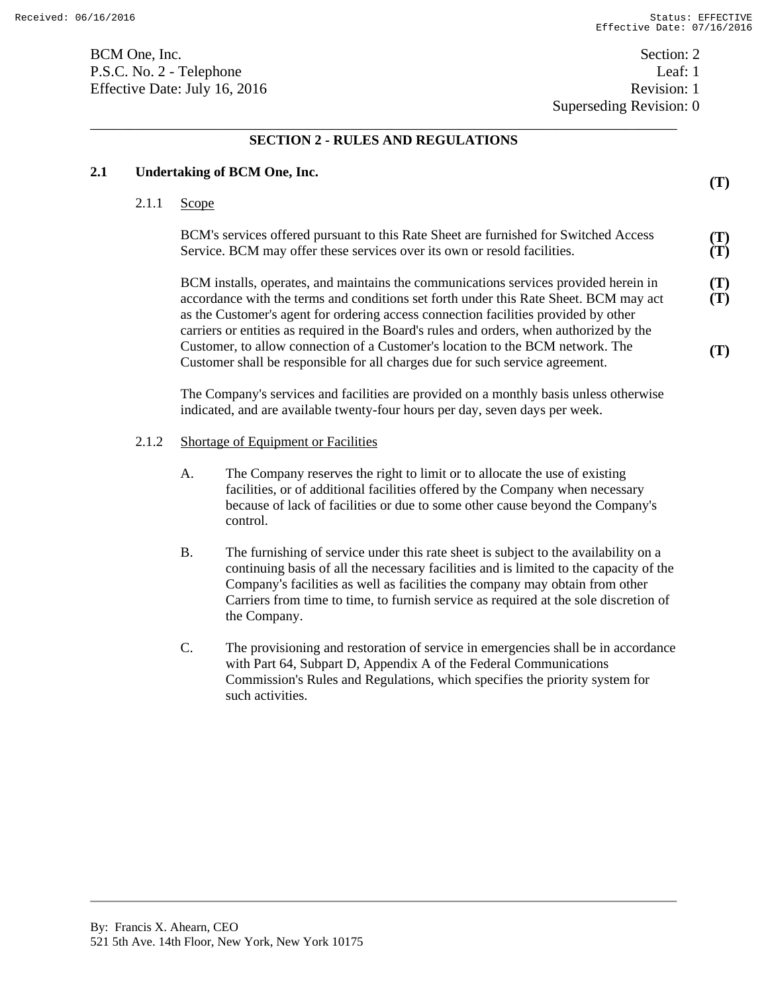BCM One, Inc. Section: 2 P.S.C. No. 2 - Telephone Leaf: 1 Effective Date: July 16, 2016 Revision: 1

Superseding Revision: 0

\_\_\_\_\_\_\_\_\_\_\_\_\_\_\_\_\_\_\_\_\_\_\_\_\_\_\_\_\_\_\_\_\_\_\_\_\_\_\_\_\_\_\_\_\_\_\_\_\_\_\_\_\_\_\_\_\_\_\_\_\_\_\_\_\_\_\_\_\_\_\_\_\_\_\_\_\_\_ **SECTION 2 - RULES AND REGULATIONS** 

| 2.1 | <b>Undertaking of BCM One, Inc.</b> |                                                                                                                                                                                                                                                                                                                                                                  |                                                                                                                                                                                                                                                                                                                                                                       | (T)        |
|-----|-------------------------------------|------------------------------------------------------------------------------------------------------------------------------------------------------------------------------------------------------------------------------------------------------------------------------------------------------------------------------------------------------------------|-----------------------------------------------------------------------------------------------------------------------------------------------------------------------------------------------------------------------------------------------------------------------------------------------------------------------------------------------------------------------|------------|
|     | 2.1.1                               | Scope                                                                                                                                                                                                                                                                                                                                                            |                                                                                                                                                                                                                                                                                                                                                                       |            |
|     |                                     | BCM's services offered pursuant to this Rate Sheet are furnished for Switched Access<br>Service. BCM may offer these services over its own or resold facilities.                                                                                                                                                                                                 |                                                                                                                                                                                                                                                                                                                                                                       |            |
|     |                                     | BCM installs, operates, and maintains the communications services provided herein in<br>accordance with the terms and conditions set forth under this Rate Sheet. BCM may act<br>as the Customer's agent for ordering access connection facilities provided by other<br>carriers or entities as required in the Board's rules and orders, when authorized by the |                                                                                                                                                                                                                                                                                                                                                                       | (T)<br>(T) |
|     |                                     | Customer, to allow connection of a Customer's location to the BCM network. The<br>Customer shall be responsible for all charges due for such service agreement.                                                                                                                                                                                                  |                                                                                                                                                                                                                                                                                                                                                                       | (T)        |
|     |                                     |                                                                                                                                                                                                                                                                                                                                                                  | The Company's services and facilities are provided on a monthly basis unless otherwise<br>indicated, and are available twenty-four hours per day, seven days per week.                                                                                                                                                                                                |            |
|     | 2.1.2                               | <b>Shortage of Equipment or Facilities</b>                                                                                                                                                                                                                                                                                                                       |                                                                                                                                                                                                                                                                                                                                                                       |            |
|     |                                     | A.                                                                                                                                                                                                                                                                                                                                                               | The Company reserves the right to limit or to allocate the use of existing<br>facilities, or of additional facilities offered by the Company when necessary<br>because of lack of facilities or due to some other cause beyond the Company's<br>control.                                                                                                              |            |
|     |                                     | <b>B.</b>                                                                                                                                                                                                                                                                                                                                                        | The furnishing of service under this rate sheet is subject to the availability on a<br>continuing basis of all the necessary facilities and is limited to the capacity of the<br>Company's facilities as well as facilities the company may obtain from other<br>Carriers from time to time, to furnish service as required at the sole discretion of<br>the Company. |            |
|     |                                     | C.                                                                                                                                                                                                                                                                                                                                                               | The provisioning and restoration of service in emergencies shall be in accordance<br>with Part 64, Subpart D, Appendix A of the Federal Communications<br>Commission's Rules and Regulations, which specifies the priority system for<br>such activities.                                                                                                             |            |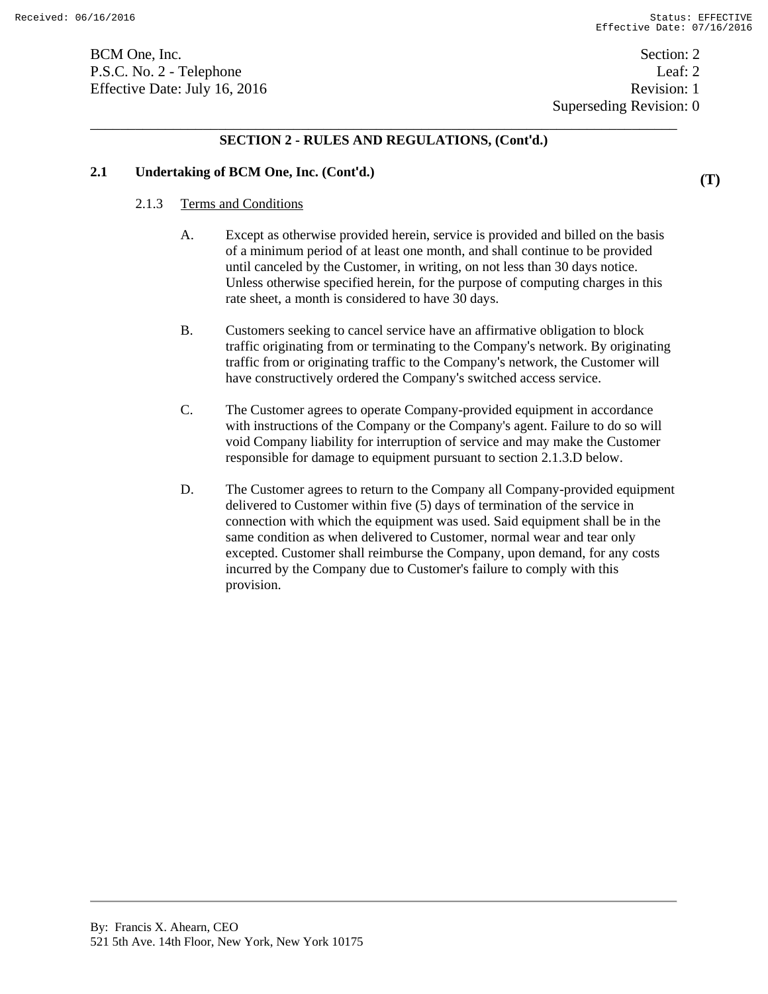BCM One, Inc. Section: 2 P.S.C. No. 2 - Telephone Leaf: 2 Effective Date: July 16, 2016 Revision: 1

# \_\_\_\_\_\_\_\_\_\_\_\_\_\_\_\_\_\_\_\_\_\_\_\_\_\_\_\_\_\_\_\_\_\_\_\_\_\_\_\_\_\_\_\_\_\_\_\_\_\_\_\_\_\_\_\_\_\_\_\_\_\_\_\_\_\_\_\_\_\_\_\_\_\_\_\_\_\_ **SECTION 2 - RULES AND REGULATIONS, (Cont'd.)**

### **2.1 Undertaking of BCM One, Inc. (Cont'd.)**

#### 2.1.3 Terms and Conditions

- A. Except as otherwise provided herein, service is provided and billed on the basis of a minimum period of at least one month, and shall continue to be provided until canceled by the Customer, in writing, on not less than 30 days notice. Unless otherwise specified herein, for the purpose of computing charges in this rate sheet, a month is considered to have 30 days.
- B. Customers seeking to cancel service have an affirmative obligation to block traffic originating from or terminating to the Company's network. By originating traffic from or originating traffic to the Company's network, the Customer will have constructively ordered the Company's switched access service.
- C. The Customer agrees to operate Company-provided equipment in accordance with instructions of the Company or the Company's agent. Failure to do so will void Company liability for interruption of service and may make the Customer responsible for damage to equipment pursuant to section 2.1.3.D below.
- D. The Customer agrees to return to the Company all Company-provided equipment delivered to Customer within five (5) days of termination of the service in connection with which the equipment was used. Said equipment shall be in the same condition as when delivered to Customer, normal wear and tear only excepted. Customer shall reimburse the Company, upon demand, for any costs incurred by the Company due to Customer's failure to comply with this provision.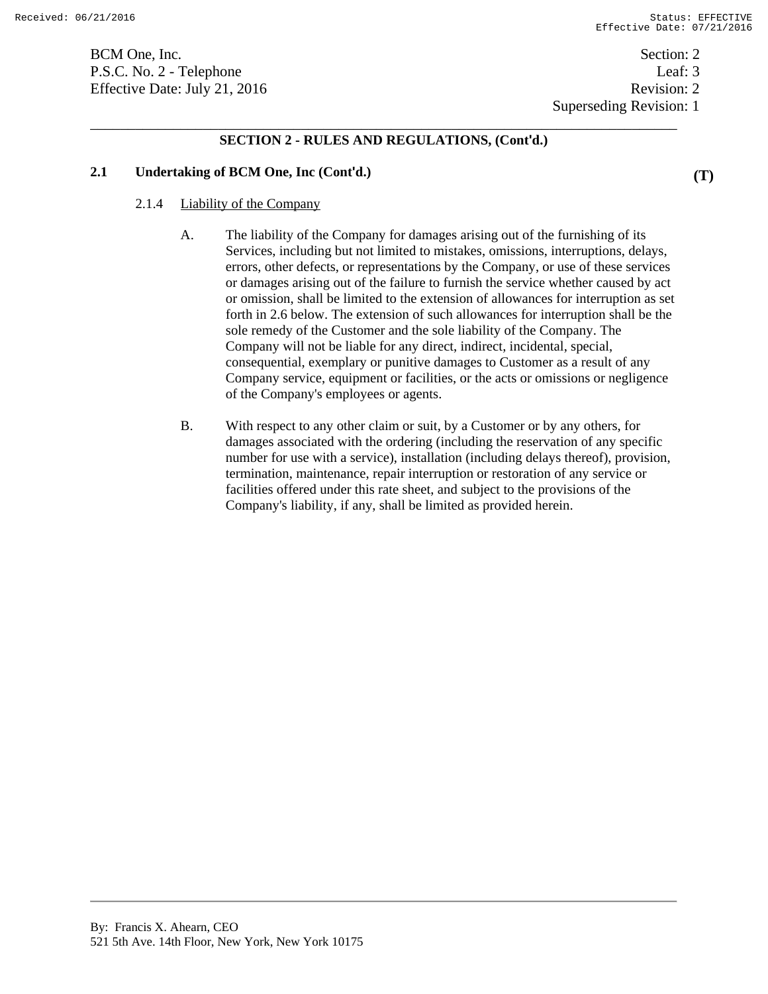BCM One, Inc. Section: 2 P.S.C. No. 2 - Telephone Leaf: 3 Effective Date: July 21, 2016 Revision: 2

Superseding Revision: 1

# \_\_\_\_\_\_\_\_\_\_\_\_\_\_\_\_\_\_\_\_\_\_\_\_\_\_\_\_\_\_\_\_\_\_\_\_\_\_\_\_\_\_\_\_\_\_\_\_\_\_\_\_\_\_\_\_\_\_\_\_\_\_\_\_\_\_\_\_\_\_\_\_\_\_\_\_\_\_ **SECTION 2 - RULES AND REGULATIONS, (Cont'd.)**

### **2.1 Undertaking of BCM One, Inc (Cont'd.)**

#### 2.1.4 Liability of the Company

- A. The liability of the Company for damages arising out of the furnishing of its Services, including but not limited to mistakes, omissions, interruptions, delays, errors, other defects, or representations by the Company, or use of these services or damages arising out of the failure to furnish the service whether caused by act or omission, shall be limited to the extension of allowances for interruption as set forth in 2.6 below. The extension of such allowances for interruption shall be the sole remedy of the Customer and the sole liability of the Company. The Company will not be liable for any direct, indirect, incidental, special, consequential, exemplary or punitive damages to Customer as a result of any Company service, equipment or facilities, or the acts or omissions or negligence of the Company's employees or agents.
- B. With respect to any other claim or suit, by a Customer or by any others, for damages associated with the ordering (including the reservation of any specific number for use with a service), installation (including delays thereof), provision, termination, maintenance, repair interruption or restoration of any service or facilities offered under this rate sheet, and subject to the provisions of the Company's liability, if any, shall be limited as provided herein.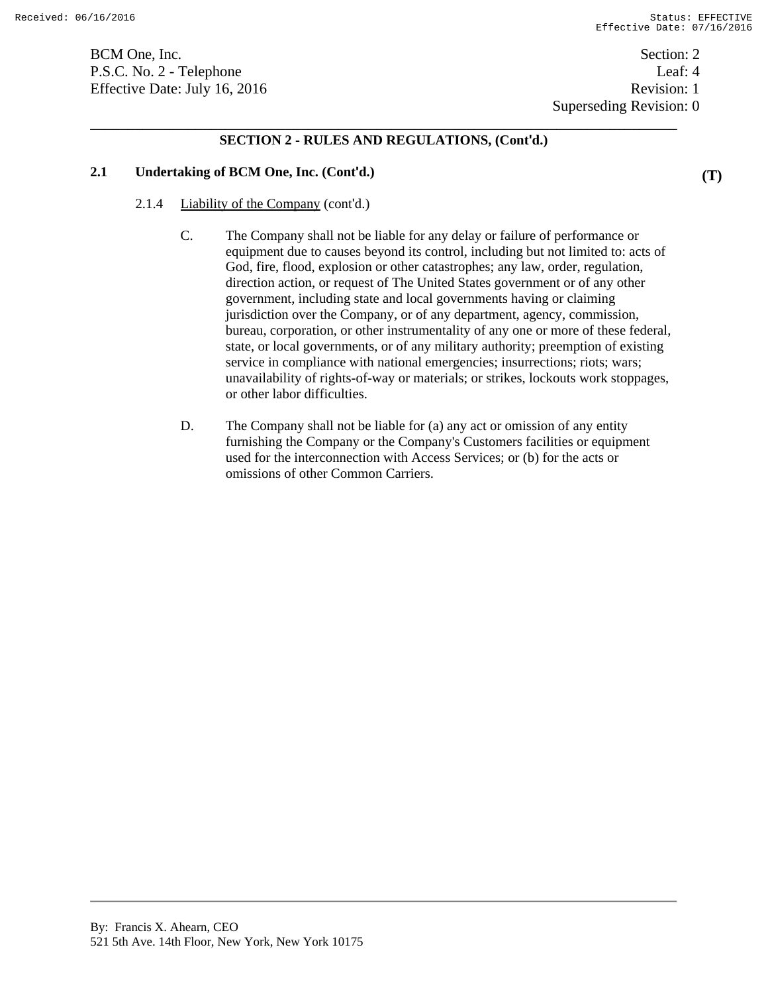BCM One, Inc. Section: 2 P.S.C. No. 2 - Telephone Leaf: 4 Effective Date: July 16, 2016 Revision: 1

# \_\_\_\_\_\_\_\_\_\_\_\_\_\_\_\_\_\_\_\_\_\_\_\_\_\_\_\_\_\_\_\_\_\_\_\_\_\_\_\_\_\_\_\_\_\_\_\_\_\_\_\_\_\_\_\_\_\_\_\_\_\_\_\_\_\_\_\_\_\_\_\_\_\_\_\_\_\_ **SECTION 2 - RULES AND REGULATIONS, (Cont'd.)**

### **2.1 Undertaking of BCM One, Inc. (Cont'd.)**

- 2.1.4 Liability of the Company (cont'd.)
	- C. The Company shall not be liable for any delay or failure of performance or equipment due to causes beyond its control, including but not limited to: acts of God, fire, flood, explosion or other catastrophes; any law, order, regulation, direction action, or request of The United States government or of any other government, including state and local governments having or claiming jurisdiction over the Company, or of any department, agency, commission, bureau, corporation, or other instrumentality of any one or more of these federal, state, or local governments, or of any military authority; preemption of existing service in compliance with national emergencies; insurrections; riots; wars; unavailability of rights-of-way or materials; or strikes, lockouts work stoppages, or other labor difficulties.
	- D. The Company shall not be liable for (a) any act or omission of any entity furnishing the Company or the Company's Customers facilities or equipment used for the interconnection with Access Services; or (b) for the acts or omissions of other Common Carriers.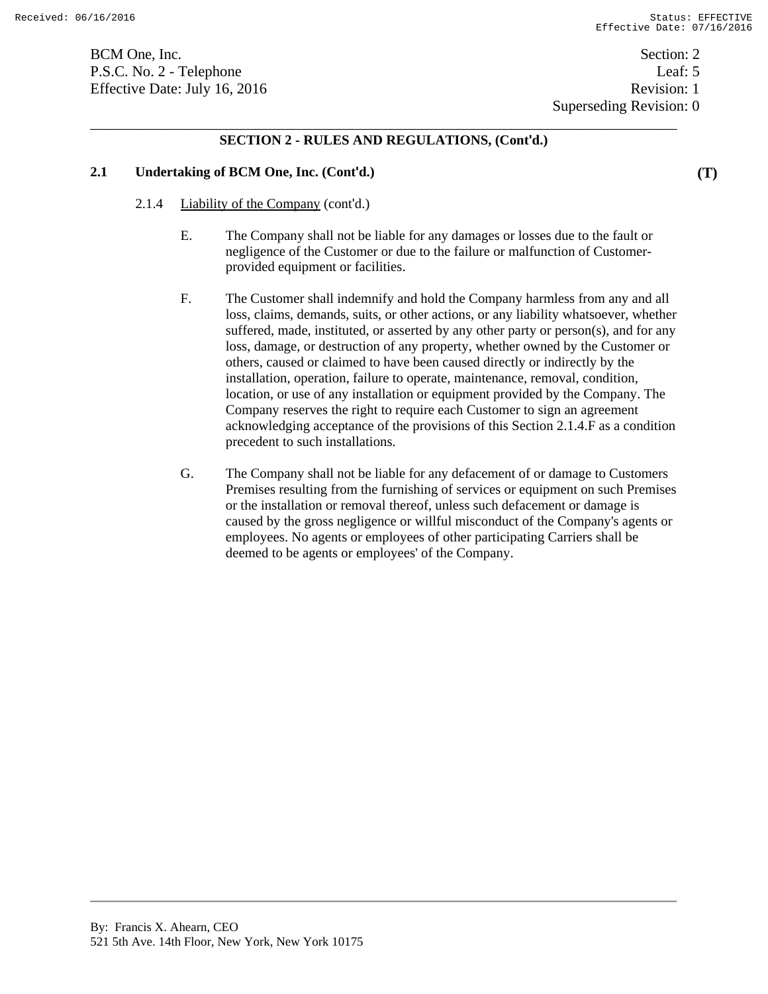BCM One, Inc. Section: 2 P.S.C. No. 2 - Telephone Leaf: 5 Effective Date: July 16, 2016 Revision: 1

Superseding Revision: 0

# \_\_\_\_\_\_\_\_\_\_\_\_\_\_\_\_\_\_\_\_\_\_\_\_\_\_\_\_\_\_\_\_\_\_\_\_\_\_\_\_\_\_\_\_\_\_\_\_\_\_\_\_\_\_\_\_\_\_\_\_\_\_\_\_\_\_\_\_\_\_\_\_\_\_\_\_\_\_ **SECTION 2 - RULES AND REGULATIONS, (Cont'd.)**

### **2.1 Undertaking of BCM One, Inc. (Cont'd.)**

- 2.1.4 Liability of the Company (cont'd.)
	- E. The Company shall not be liable for any damages or losses due to the fault or negligence of the Customer or due to the failure or malfunction of Customerprovided equipment or facilities.
	- F. The Customer shall indemnify and hold the Company harmless from any and all loss, claims, demands, suits, or other actions, or any liability whatsoever, whether suffered, made, instituted, or asserted by any other party or person(s), and for any loss, damage, or destruction of any property, whether owned by the Customer or others, caused or claimed to have been caused directly or indirectly by the installation, operation, failure to operate, maintenance, removal, condition, location, or use of any installation or equipment provided by the Company. The Company reserves the right to require each Customer to sign an agreement acknowledging acceptance of the provisions of this Section 2.1.4.F as a condition precedent to such installations.
	- G. The Company shall not be liable for any defacement of or damage to Customers Premises resulting from the furnishing of services or equipment on such Premises or the installation or removal thereof, unless such defacement or damage is caused by the gross negligence or willful misconduct of the Company's agents or employees. No agents or employees of other participating Carriers shall be deemed to be agents or employees' of the Company.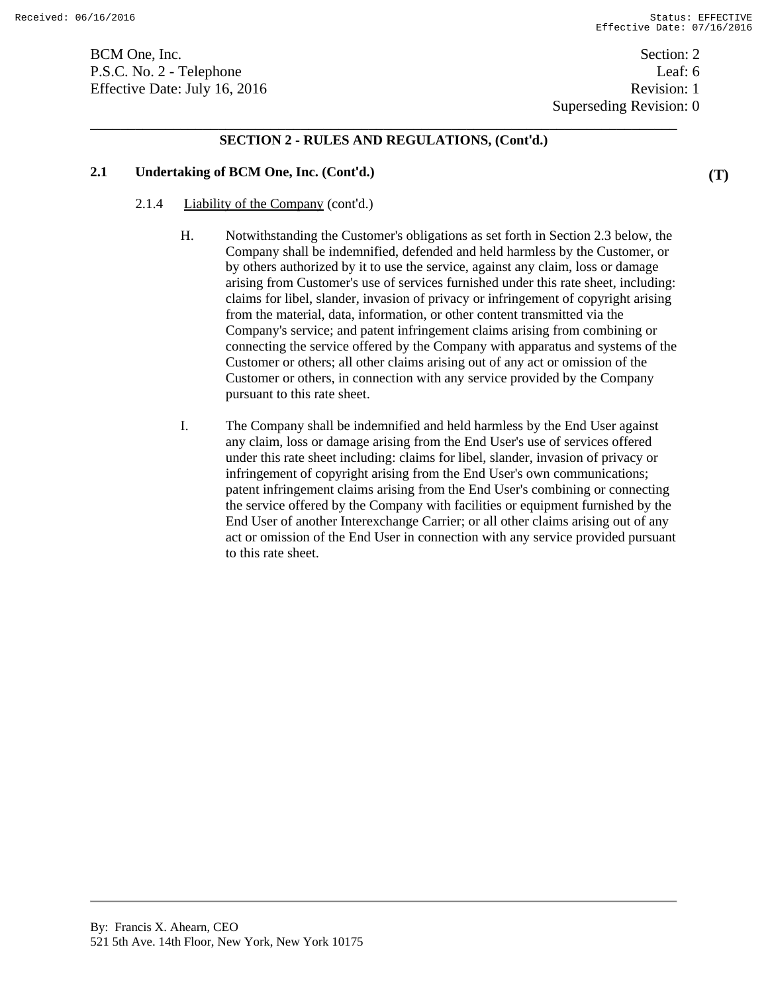BCM One, Inc. Section: 2 P.S.C. No. 2 - Telephone Leaf: 6 Effective Date: July 16, 2016 Revision: 1

Superseding Revision: 0

# \_\_\_\_\_\_\_\_\_\_\_\_\_\_\_\_\_\_\_\_\_\_\_\_\_\_\_\_\_\_\_\_\_\_\_\_\_\_\_\_\_\_\_\_\_\_\_\_\_\_\_\_\_\_\_\_\_\_\_\_\_\_\_\_\_\_\_\_\_\_\_\_\_\_\_\_\_\_ **SECTION 2 - RULES AND REGULATIONS, (Cont'd.)**

### **2.1 Undertaking of BCM One, Inc. (Cont'd.)**

#### 2.1.4 Liability of the Company (cont'd.)

- H. Notwithstanding the Customer's obligations as set forth in Section 2.3 below, the Company shall be indemnified, defended and held harmless by the Customer, or by others authorized by it to use the service, against any claim, loss or damage arising from Customer's use of services furnished under this rate sheet, including: claims for libel, slander, invasion of privacy or infringement of copyright arising from the material, data, information, or other content transmitted via the Company's service; and patent infringement claims arising from combining or connecting the service offered by the Company with apparatus and systems of the Customer or others; all other claims arising out of any act or omission of the Customer or others, in connection with any service provided by the Company pursuant to this rate sheet.
- I. The Company shall be indemnified and held harmless by the End User against any claim, loss or damage arising from the End User's use of services offered under this rate sheet including: claims for libel, slander, invasion of privacy or infringement of copyright arising from the End User's own communications; patent infringement claims arising from the End User's combining or connecting the service offered by the Company with facilities or equipment furnished by the End User of another Interexchange Carrier; or all other claims arising out of any act or omission of the End User in connection with any service provided pursuant to this rate sheet.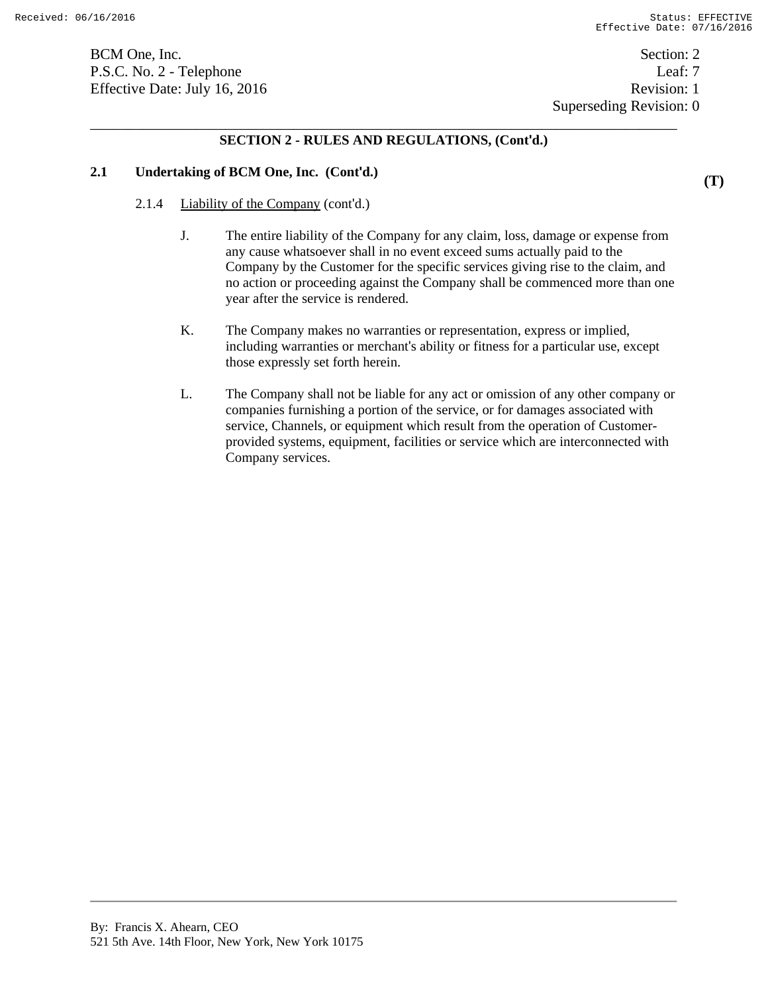**(T)** 

BCM One, Inc. Section: 2 P.S.C. No. 2 - Telephone Leaf: 7 Effective Date: July 16, 2016 Revision: 1

Superseding Revision: 0

# \_\_\_\_\_\_\_\_\_\_\_\_\_\_\_\_\_\_\_\_\_\_\_\_\_\_\_\_\_\_\_\_\_\_\_\_\_\_\_\_\_\_\_\_\_\_\_\_\_\_\_\_\_\_\_\_\_\_\_\_\_\_\_\_\_\_\_\_\_\_\_\_\_\_\_\_\_\_ **SECTION 2 - RULES AND REGULATIONS, (Cont'd.)**

# **2.1 Undertaking of BCM One, Inc. (Cont'd.)**

- 2.1.4 Liability of the Company (cont'd.)
	- J. The entire liability of the Company for any claim, loss, damage or expense from any cause whatsoever shall in no event exceed sums actually paid to the Company by the Customer for the specific services giving rise to the claim, and no action or proceeding against the Company shall be commenced more than one year after the service is rendered.
	- K. The Company makes no warranties or representation, express or implied, including warranties or merchant's ability or fitness for a particular use, except those expressly set forth herein.
	- L. The Company shall not be liable for any act or omission of any other company or companies furnishing a portion of the service, or for damages associated with service, Channels, or equipment which result from the operation of Customerprovided systems, equipment, facilities or service which are interconnected with Company services.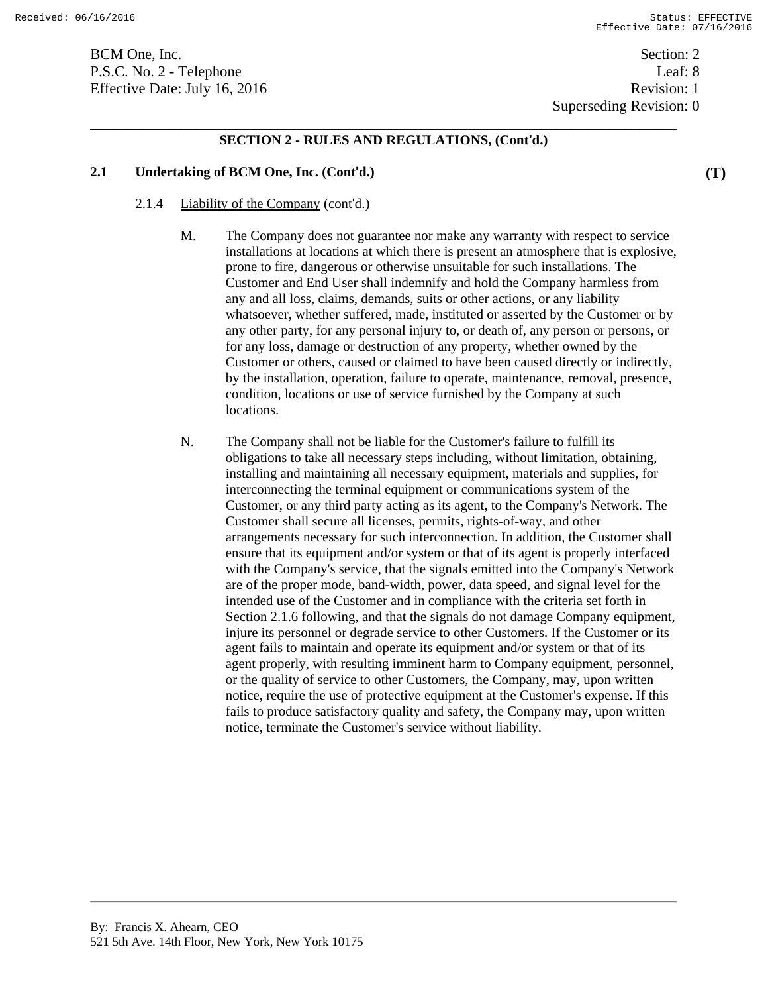BCM One, Inc. Section: 2 P.S.C. No. 2 - Telephone Leaf: 8 Effective Date: July 16, 2016 Revision: 1

Superseding Revision: 0

# \_\_\_\_\_\_\_\_\_\_\_\_\_\_\_\_\_\_\_\_\_\_\_\_\_\_\_\_\_\_\_\_\_\_\_\_\_\_\_\_\_\_\_\_\_\_\_\_\_\_\_\_\_\_\_\_\_\_\_\_\_\_\_\_\_\_\_\_\_\_\_\_\_\_\_\_\_\_ **SECTION 2 - RULES AND REGULATIONS, (Cont'd.)**

### **2.1 Undertaking of BCM One, Inc. (Cont'd.)**

- 2.1.4 Liability of the Company (cont'd.)
	- M. The Company does not guarantee nor make any warranty with respect to service installations at locations at which there is present an atmosphere that is explosive, prone to fire, dangerous or otherwise unsuitable for such installations. The Customer and End User shall indemnify and hold the Company harmless from any and all loss, claims, demands, suits or other actions, or any liability whatsoever, whether suffered, made, instituted or asserted by the Customer or by any other party, for any personal injury to, or death of, any person or persons, or for any loss, damage or destruction of any property, whether owned by the Customer or others, caused or claimed to have been caused directly or indirectly, by the installation, operation, failure to operate, maintenance, removal, presence, condition, locations or use of service furnished by the Company at such locations.
	- N. The Company shall not be liable for the Customer's failure to fulfill its obligations to take all necessary steps including, without limitation, obtaining, installing and maintaining all necessary equipment, materials and supplies, for interconnecting the terminal equipment or communications system of the Customer, or any third party acting as its agent, to the Company's Network. The Customer shall secure all licenses, permits, rights-of-way, and other arrangements necessary for such interconnection. In addition, the Customer shall ensure that its equipment and/or system or that of its agent is properly interfaced with the Company's service, that the signals emitted into the Company's Network are of the proper mode, band-width, power, data speed, and signal level for the intended use of the Customer and in compliance with the criteria set forth in Section 2.1.6 following, and that the signals do not damage Company equipment, injure its personnel or degrade service to other Customers. If the Customer or its agent fails to maintain and operate its equipment and/or system or that of its agent properly, with resulting imminent harm to Company equipment, personnel, or the quality of service to other Customers, the Company, may, upon written notice, require the use of protective equipment at the Customer's expense. If this fails to produce satisfactory quality and safety, the Company may, upon written notice, terminate the Customer's service without liability.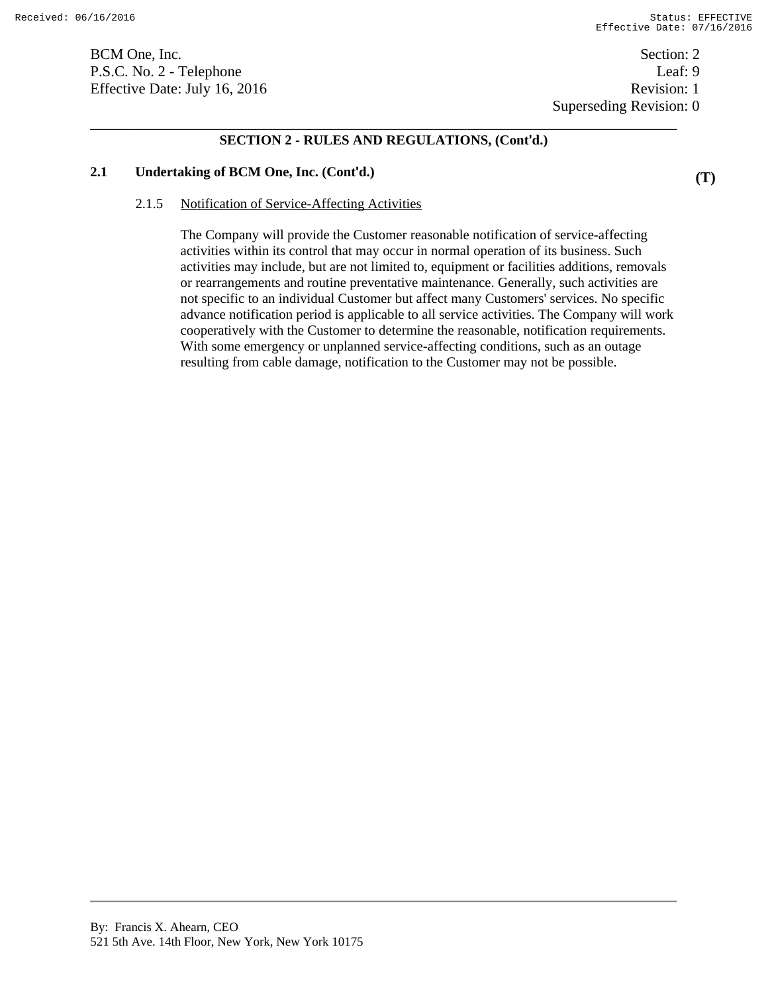**(T)** 

BCM One, Inc. Section: 2 P.S.C. No. 2 - Telephone Leaf: 9 Effective Date: July 16, 2016 Revision: 1

 Superseding Revision: 0 \_\_\_\_\_\_\_\_\_\_\_\_\_\_\_\_\_\_\_\_\_\_\_\_\_\_\_\_\_\_\_\_\_\_\_\_\_\_\_\_\_\_\_\_\_\_\_\_\_\_\_\_\_\_\_\_\_\_\_\_\_\_\_\_\_\_\_\_\_\_\_\_\_\_\_\_\_\_

### **SECTION 2 - RULES AND REGULATIONS, (Cont'd.)**

### **2.1 Undertaking of BCM One, Inc. (Cont'd.)**

#### 2.1.5 Notification of Service-Affecting Activities

The Company will provide the Customer reasonable notification of service-affecting activities within its control that may occur in normal operation of its business. Such activities may include, but are not limited to, equipment or facilities additions, removals or rearrangements and routine preventative maintenance. Generally, such activities are not specific to an individual Customer but affect many Customers' services. No specific advance notification period is applicable to all service activities. The Company will work cooperatively with the Customer to determine the reasonable, notification requirements. With some emergency or unplanned service-affecting conditions, such as an outage resulting from cable damage, notification to the Customer may not be possible.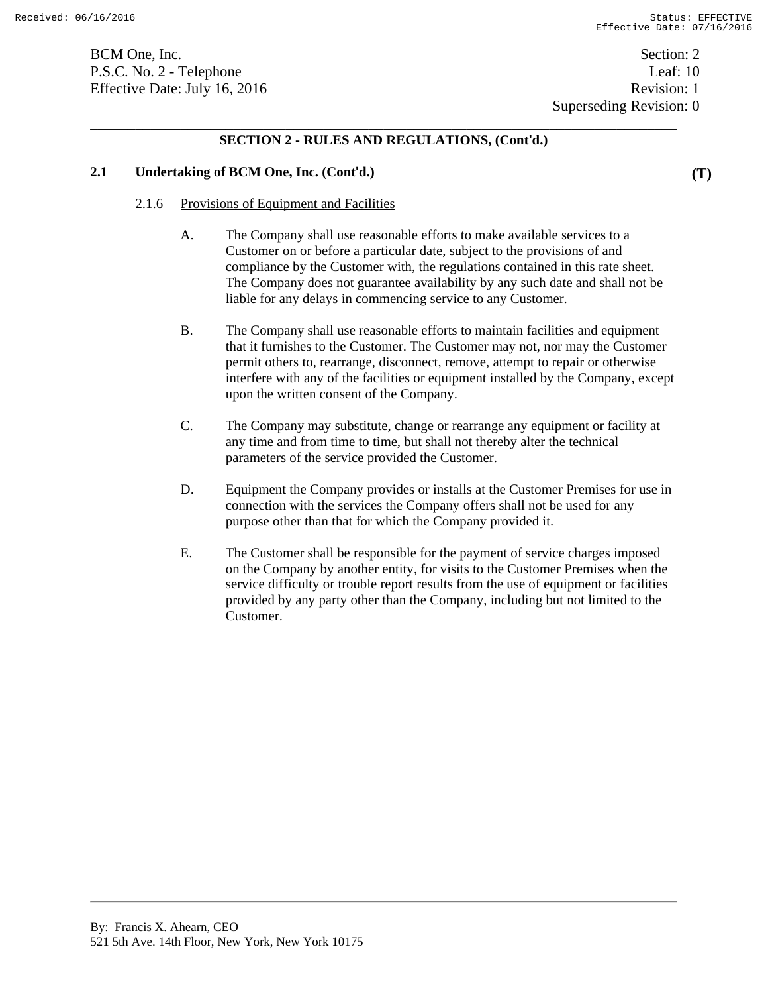**(T)** 

BCM One, Inc. Section: 2 P.S.C. No. 2 - Telephone Leaf: 10 Effective Date: July 16, 2016 Revision: 1

# \_\_\_\_\_\_\_\_\_\_\_\_\_\_\_\_\_\_\_\_\_\_\_\_\_\_\_\_\_\_\_\_\_\_\_\_\_\_\_\_\_\_\_\_\_\_\_\_\_\_\_\_\_\_\_\_\_\_\_\_\_\_\_\_\_\_\_\_\_\_\_\_\_\_\_\_\_\_ **SECTION 2 - RULES AND REGULATIONS, (Cont'd.)**

### **2.1 Undertaking of BCM One, Inc. (Cont'd.)**

#### 2.1.6 Provisions of Equipment and Facilities

- A. The Company shall use reasonable efforts to make available services to a Customer on or before a particular date, subject to the provisions of and compliance by the Customer with, the regulations contained in this rate sheet. The Company does not guarantee availability by any such date and shall not be liable for any delays in commencing service to any Customer.
- B. The Company shall use reasonable efforts to maintain facilities and equipment that it furnishes to the Customer. The Customer may not, nor may the Customer permit others to, rearrange, disconnect, remove, attempt to repair or otherwise interfere with any of the facilities or equipment installed by the Company, except upon the written consent of the Company.
- C. The Company may substitute, change or rearrange any equipment or facility at any time and from time to time, but shall not thereby alter the technical parameters of the service provided the Customer.
- D. Equipment the Company provides or installs at the Customer Premises for use in connection with the services the Company offers shall not be used for any purpose other than that for which the Company provided it.
- E. The Customer shall be responsible for the payment of service charges imposed on the Company by another entity, for visits to the Customer Premises when the service difficulty or trouble report results from the use of equipment or facilities provided by any party other than the Company, including but not limited to the Customer.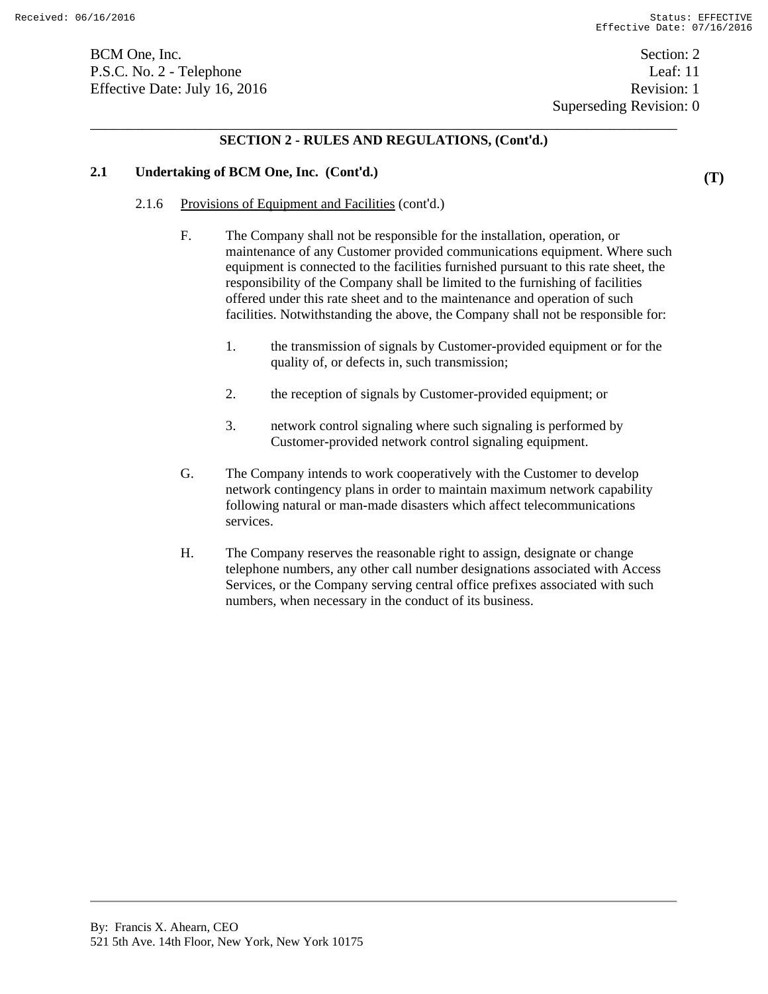BCM One, Inc. Section: 2 P.S.C. No. 2 - Telephone Leaf: 11 Effective Date: July 16, 2016 Revision: 1

# **SECTION 2 - RULES AND REGULATIONS, (Cont'd.)**

### **2.1 Undertaking of BCM One, Inc. (Cont'd.)**

- 2.1.6 Provisions of Equipment and Facilities (cont'd.)
	- F. The Company shall not be responsible for the installation, operation, or maintenance of any Customer provided communications equipment. Where such equipment is connected to the facilities furnished pursuant to this rate sheet, the responsibility of the Company shall be limited to the furnishing of facilities offered under this rate sheet and to the maintenance and operation of such facilities. Notwithstanding the above, the Company shall not be responsible for:
		- 1. the transmission of signals by Customer-provided equipment or for the quality of, or defects in, such transmission;
		- 2. the reception of signals by Customer-provided equipment; or
		- 3. network control signaling where such signaling is performed by Customer-provided network control signaling equipment.
	- G. The Company intends to work cooperatively with the Customer to develop network contingency plans in order to maintain maximum network capability following natural or man-made disasters which affect telecommunications services.
	- H. The Company reserves the reasonable right to assign, designate or change telephone numbers, any other call number designations associated with Access Services, or the Company serving central office prefixes associated with such numbers, when necessary in the conduct of its business.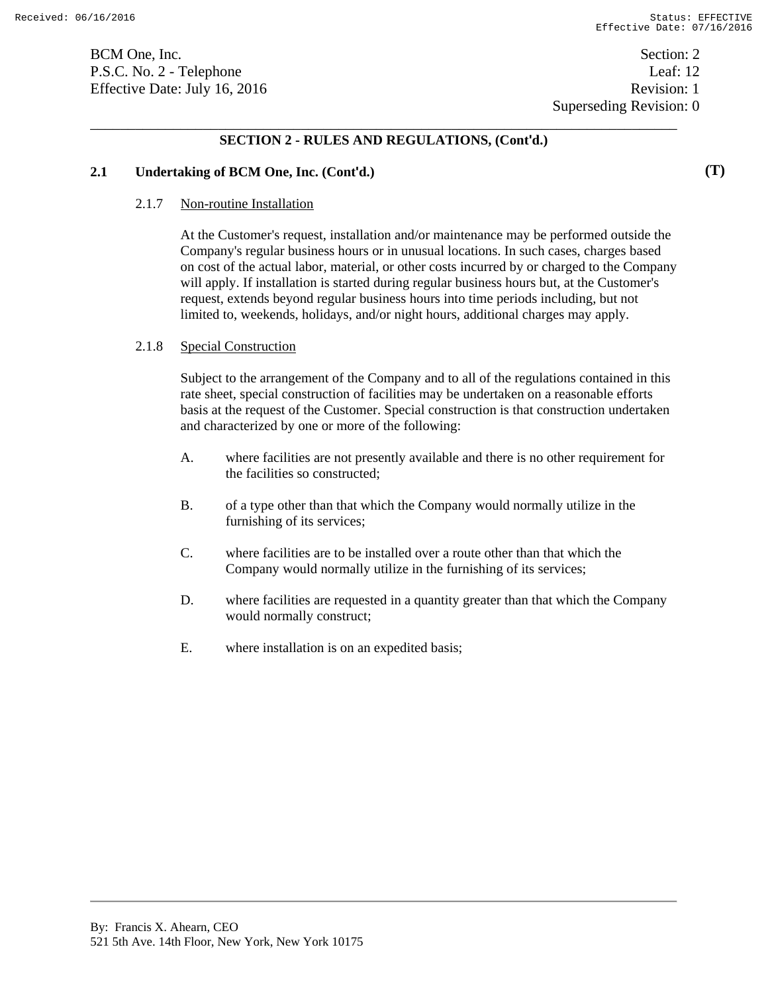P.S.C. No. 2 - Telephone Leaf: 12 Effective Date: July 16, 2016 Revision: 1

# **SECTION 2 - RULES AND REGULATIONS, (Cont'd.)**

### **2.1 Undertaking of BCM One, Inc. (Cont'd.)**

#### 2.1.7 Non-routine Installation

At the Customer's request, installation and/or maintenance may be performed outside the Company's regular business hours or in unusual locations. In such cases, charges based on cost of the actual labor, material, or other costs incurred by or charged to the Company will apply. If installation is started during regular business hours but, at the Customer's request, extends beyond regular business hours into time periods including, but not limited to, weekends, holidays, and/or night hours, additional charges may apply.

### 2.1.8 Special Construction

Subject to the arrangement of the Company and to all of the regulations contained in this rate sheet, special construction of facilities may be undertaken on a reasonable efforts basis at the request of the Customer. Special construction is that construction undertaken and characterized by one or more of the following:

- A. where facilities are not presently available and there is no other requirement for the facilities so constructed;
- B. of a type other than that which the Company would normally utilize in the furnishing of its services;
- C. where facilities are to be installed over a route other than that which the Company would normally utilize in the furnishing of its services;
- D. where facilities are requested in a quantity greater than that which the Company would normally construct;
- E. where installation is on an expedited basis;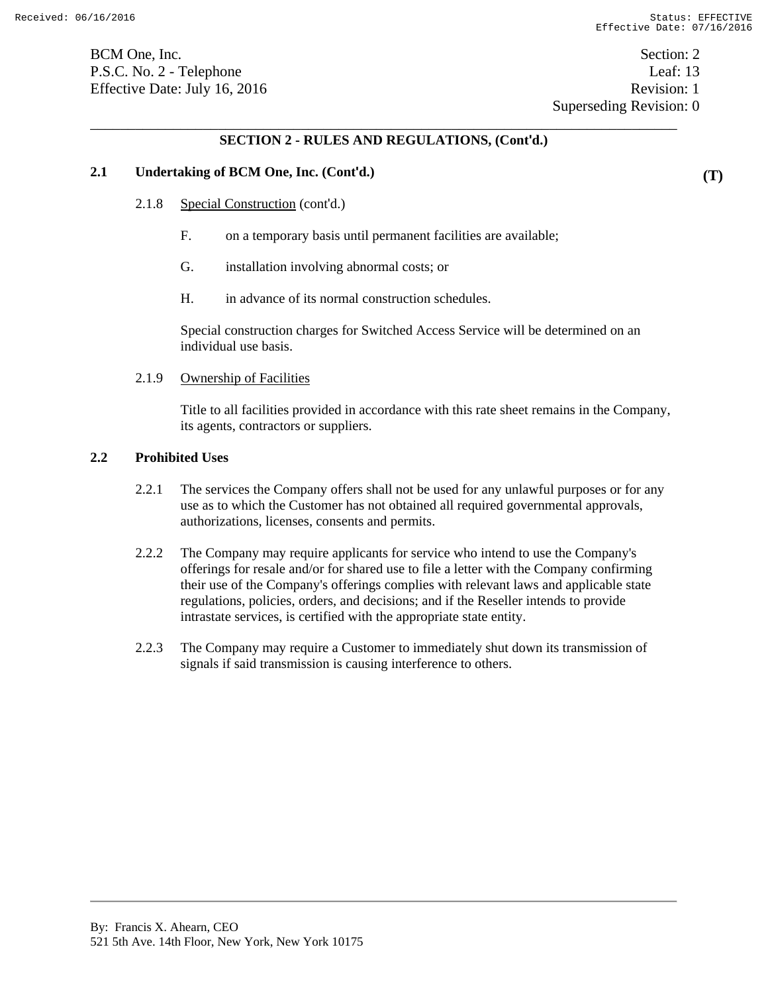# **SECTION 2 - RULES AND REGULATIONS, (Cont'd.)**

### **2.1 Undertaking of BCM One, Inc. (Cont'd.)**

- 2.1.8 Special Construction (cont'd.)
	- F. on a temporary basis until permanent facilities are available;
	- G. installation involving abnormal costs; or
	- H. in advance of its normal construction schedules.

Special construction charges for Switched Access Service will be determined on an individual use basis.

#### 2.1.9 Ownership of Facilities

Title to all facilities provided in accordance with this rate sheet remains in the Company, its agents, contractors or suppliers.

#### **2.2 Prohibited Uses**

- 2.2.1 The services the Company offers shall not be used for any unlawful purposes or for any use as to which the Customer has not obtained all required governmental approvals, authorizations, licenses, consents and permits.
- 2.2.2 The Company may require applicants for service who intend to use the Company's offerings for resale and/or for shared use to file a letter with the Company confirming their use of the Company's offerings complies with relevant laws and applicable state regulations, policies, orders, and decisions; and if the Reseller intends to provide intrastate services, is certified with the appropriate state entity.
- 2.2.3 The Company may require a Customer to immediately shut down its transmission of signals if said transmission is causing interference to others.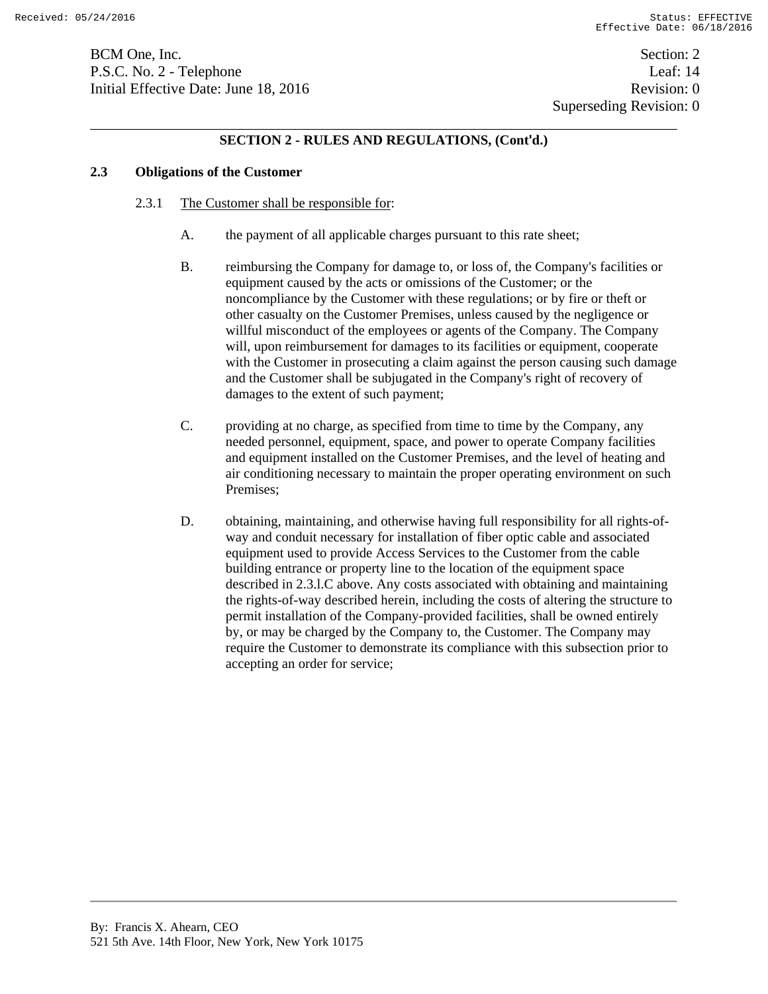BCM One, Inc. Section: 2 P.S.C. No. 2 - Telephone Leaf: 14 Initial Effective Date: June 18, 2016 **Revision: 0** Revision: 0

# **SECTION 2 - RULES AND REGULATIONS, (Cont'd.)**

## **2.3 Obligations of the Customer**

- 2.3.1 The Customer shall be responsible for:
	- A. the payment of all applicable charges pursuant to this rate sheet;
	- B. reimbursing the Company for damage to, or loss of, the Company's facilities or equipment caused by the acts or omissions of the Customer; or the noncompliance by the Customer with these regulations; or by fire or theft or other casualty on the Customer Premises, unless caused by the negligence or willful misconduct of the employees or agents of the Company. The Company will, upon reimbursement for damages to its facilities or equipment, cooperate with the Customer in prosecuting a claim against the person causing such damage and the Customer shall be subjugated in the Company's right of recovery of damages to the extent of such payment;
	- C. providing at no charge, as specified from time to time by the Company, any needed personnel, equipment, space, and power to operate Company facilities and equipment installed on the Customer Premises, and the level of heating and air conditioning necessary to maintain the proper operating environment on such Premises;
	- D. obtaining, maintaining, and otherwise having full responsibility for all rights-ofway and conduit necessary for installation of fiber optic cable and associated equipment used to provide Access Services to the Customer from the cable building entrance or property line to the location of the equipment space described in 2.3.l.C above. Any costs associated with obtaining and maintaining the rights-of-way described herein, including the costs of altering the structure to permit installation of the Company-provided facilities, shall be owned entirely by, or may be charged by the Company to, the Customer. The Company may require the Customer to demonstrate its compliance with this subsection prior to accepting an order for service;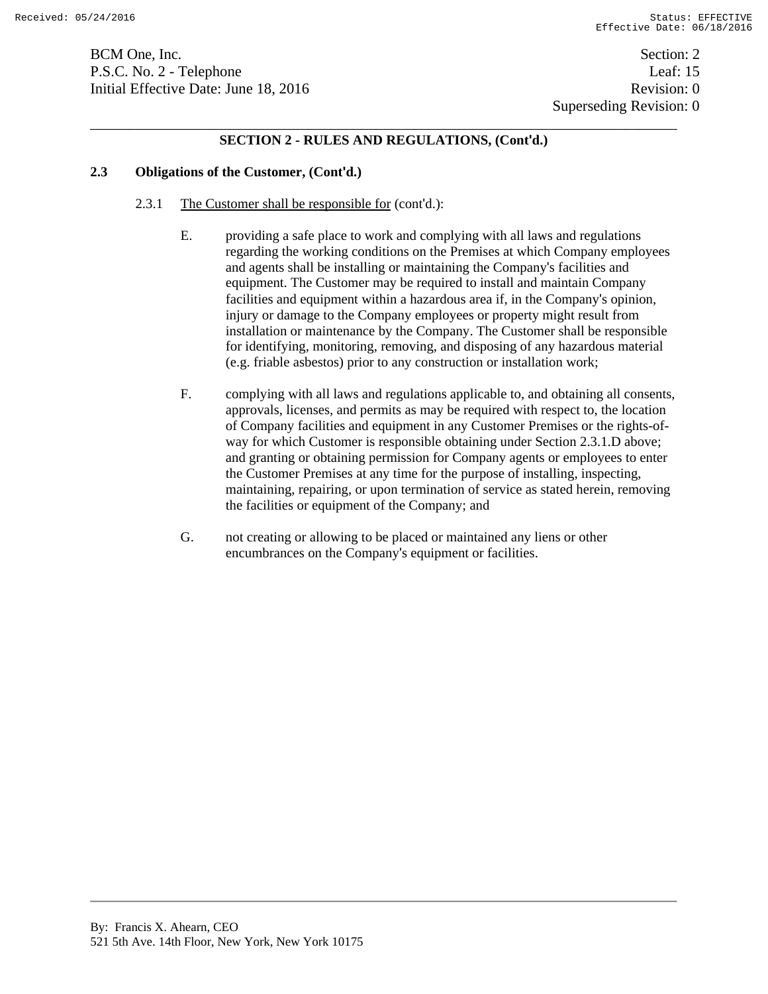BCM One, Inc. Section: 2 P.S.C. No. 2 - Telephone Leaf: 15 Initial Effective Date: June 18, 2016 **Revision: 0** Revision: 0

# **SECTION 2 - RULES AND REGULATIONS, (Cont'd.)**

# **2.3 Obligations of the Customer, (Cont'd.)**

- 2.3.1 The Customer shall be responsible for (cont'd.):
	- E. providing a safe place to work and complying with all laws and regulations regarding the working conditions on the Premises at which Company employees and agents shall be installing or maintaining the Company's facilities and equipment. The Customer may be required to install and maintain Company facilities and equipment within a hazardous area if, in the Company's opinion, injury or damage to the Company employees or property might result from installation or maintenance by the Company. The Customer shall be responsible for identifying, monitoring, removing, and disposing of any hazardous material (e.g. friable asbestos) prior to any construction or installation work;
	- F. complying with all laws and regulations applicable to, and obtaining all consents, approvals, licenses, and permits as may be required with respect to, the location of Company facilities and equipment in any Customer Premises or the rights-ofway for which Customer is responsible obtaining under Section 2.3.1.D above; and granting or obtaining permission for Company agents or employees to enter the Customer Premises at any time for the purpose of installing, inspecting, maintaining, repairing, or upon termination of service as stated herein, removing the facilities or equipment of the Company; and
	- G. not creating or allowing to be placed or maintained any liens or other encumbrances on the Company's equipment or facilities.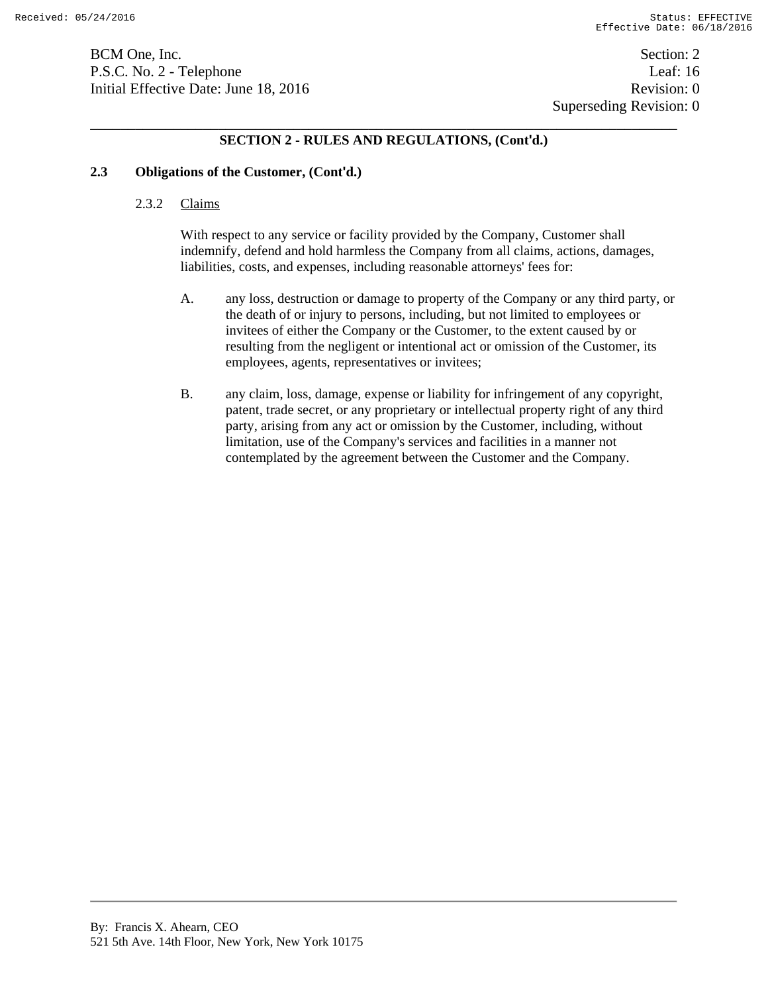BCM One, Inc. Section: 2 P.S.C. No. 2 - Telephone Leaf: 16 Initial Effective Date: June 18, 2016 **Revision: 0** Revision: 0

# **SECTION 2 - RULES AND REGULATIONS, (Cont'd.)**

#### **2.3 Obligations of the Customer, (Cont'd.)**

#### 2.3.2 Claims

With respect to any service or facility provided by the Company, Customer shall indemnify, defend and hold harmless the Company from all claims, actions, damages, liabilities, costs, and expenses, including reasonable attorneys' fees for:

- A. any loss, destruction or damage to property of the Company or any third party, or the death of or injury to persons, including, but not limited to employees or invitees of either the Company or the Customer, to the extent caused by or resulting from the negligent or intentional act or omission of the Customer, its employees, agents, representatives or invitees;
- B. any claim, loss, damage, expense or liability for infringement of any copyright, patent, trade secret, or any proprietary or intellectual property right of any third party, arising from any act or omission by the Customer, including, without limitation, use of the Company's services and facilities in a manner not contemplated by the agreement between the Customer and the Company.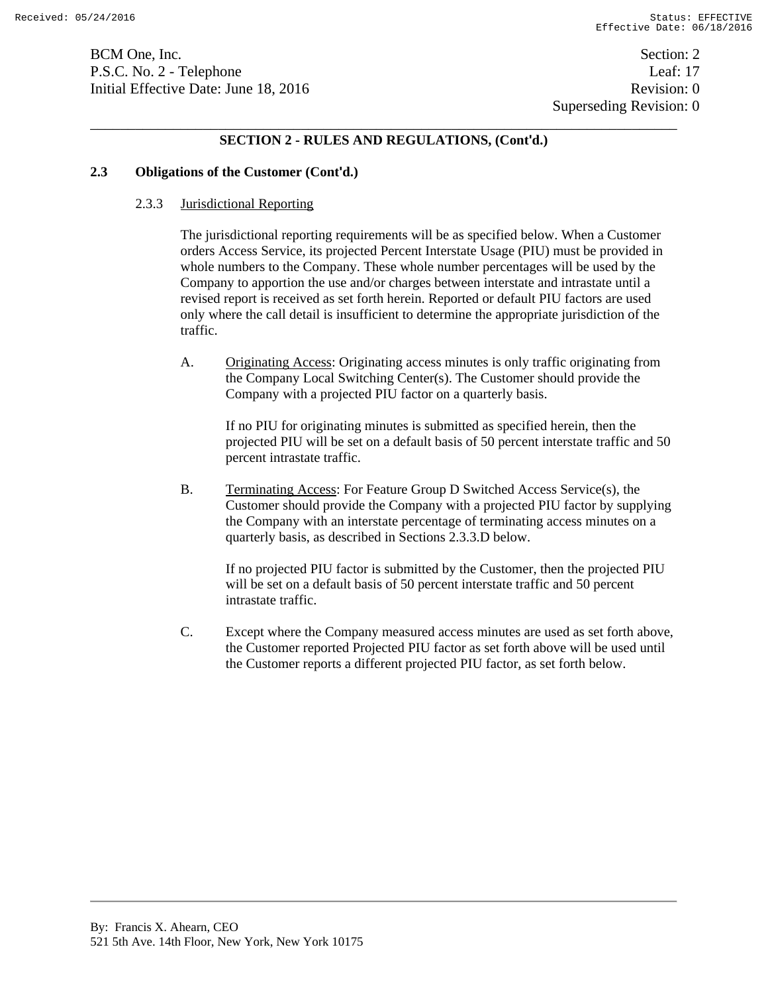BCM One, Inc. Section: 2 P.S.C. No. 2 - Telephone Leaf: 17 Initial Effective Date: June 18, 2016 **Revision: 0** Revision: 0

### **SECTION 2 - RULES AND REGULATIONS, (Cont'd.)**

#### **2.3 Obligations of the Customer (Cont'd.)**

#### 2.3.3 Jurisdictional Reporting

The jurisdictional reporting requirements will be as specified below. When a Customer orders Access Service, its projected Percent Interstate Usage (PIU) must be provided in whole numbers to the Company. These whole number percentages will be used by the Company to apportion the use and/or charges between interstate and intrastate until a revised report is received as set forth herein. Reported or default PIU factors are used only where the call detail is insufficient to determine the appropriate jurisdiction of the traffic.

A. Originating Access: Originating access minutes is only traffic originating from the Company Local Switching Center(s). The Customer should provide the Company with a projected PIU factor on a quarterly basis.

If no PIU for originating minutes is submitted as specified herein, then the projected PIU will be set on a default basis of 50 percent interstate traffic and 50 percent intrastate traffic.

B. Terminating Access: For Feature Group D Switched Access Service(s), the Customer should provide the Company with a projected PIU factor by supplying the Company with an interstate percentage of terminating access minutes on a quarterly basis, as described in Sections 2.3.3.D below.

If no projected PIU factor is submitted by the Customer, then the projected PIU will be set on a default basis of 50 percent interstate traffic and 50 percent intrastate traffic.

C. Except where the Company measured access minutes are used as set forth above, the Customer reported Projected PIU factor as set forth above will be used until the Customer reports a different projected PIU factor, as set forth below.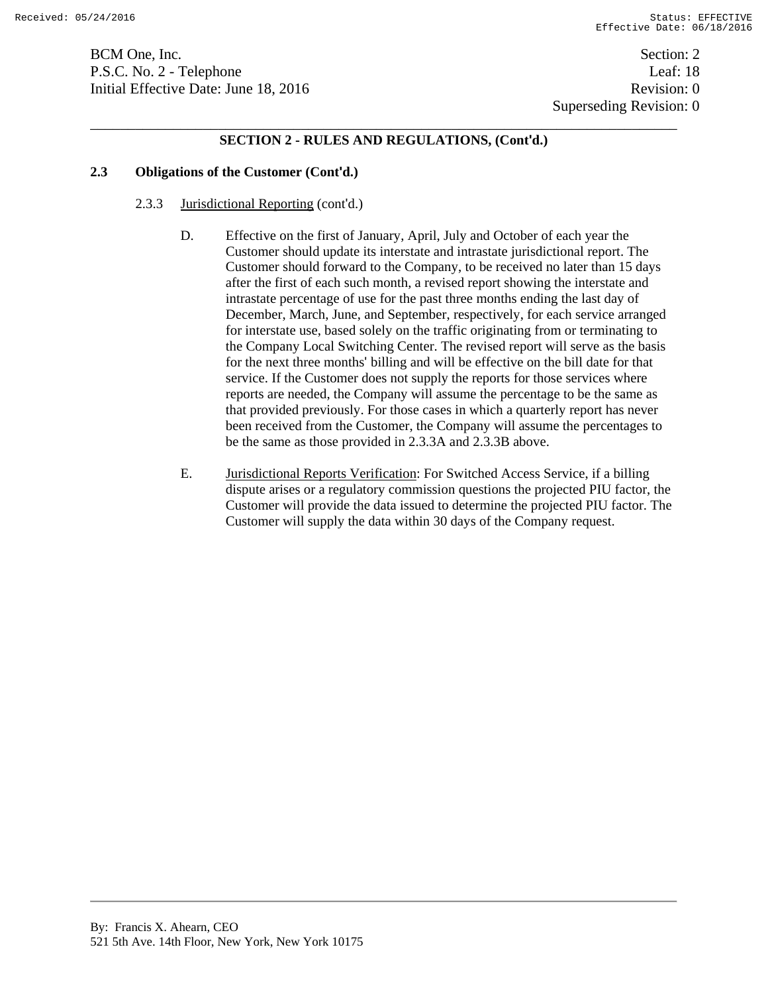BCM One, Inc. Section: 2 P.S.C. No. 2 - Telephone Leaf: 18 Initial Effective Date: June 18, 2016 **Revision: 0** Revision: 0

# **SECTION 2 - RULES AND REGULATIONS, (Cont'd.)**

### **2.3 Obligations of the Customer (Cont'd.)**

- 2.3.3 Jurisdictional Reporting (cont'd.)
	- D. Effective on the first of January, April, July and October of each year the Customer should update its interstate and intrastate jurisdictional report. The Customer should forward to the Company, to be received no later than 15 days after the first of each such month, a revised report showing the interstate and intrastate percentage of use for the past three months ending the last day of December, March, June, and September, respectively, for each service arranged for interstate use, based solely on the traffic originating from or terminating to the Company Local Switching Center. The revised report will serve as the basis for the next three months' billing and will be effective on the bill date for that service. If the Customer does not supply the reports for those services where reports are needed, the Company will assume the percentage to be the same as that provided previously. For those cases in which a quarterly report has never been received from the Customer, the Company will assume the percentages to be the same as those provided in 2.3.3A and 2.3.3B above.
	- E. Jurisdictional Reports Verification: For Switched Access Service, if a billing dispute arises or a regulatory commission questions the projected PIU factor, the Customer will provide the data issued to determine the projected PIU factor. The Customer will supply the data within 30 days of the Company request.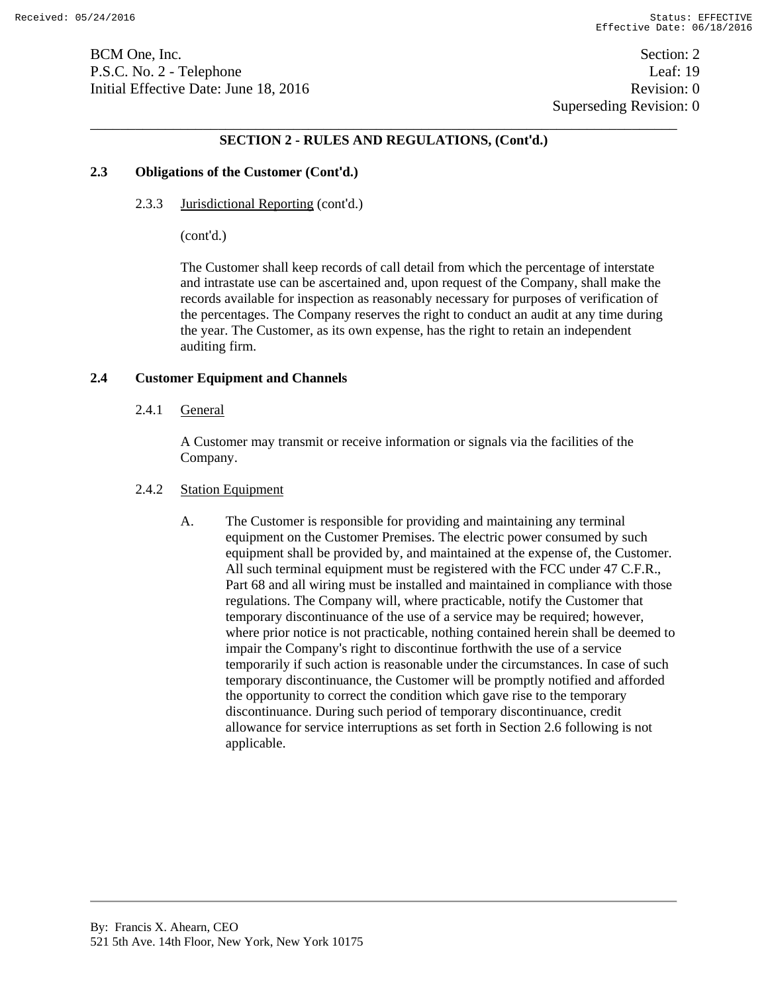BCM One, Inc. Section: 2 P.S.C. No. 2 - Telephone Leaf: 19 Initial Effective Date: June 18, 2016 **Revision: 0** Revision: 0

 Superseding Revision: 0 \_\_\_\_\_\_\_\_\_\_\_\_\_\_\_\_\_\_\_\_\_\_\_\_\_\_\_\_\_\_\_\_\_\_\_\_\_\_\_\_\_\_\_\_\_\_\_\_\_\_\_\_\_\_\_\_\_\_\_\_\_\_\_\_\_\_\_\_\_\_\_\_\_\_\_\_\_\_

### **SECTION 2 - RULES AND REGULATIONS, (Cont'd.)**

#### **2.3 Obligations of the Customer (Cont'd.)**

2.3.3 Jurisdictional Reporting (cont'd.)

(cont'd.)

The Customer shall keep records of call detail from which the percentage of interstate and intrastate use can be ascertained and, upon request of the Company, shall make the records available for inspection as reasonably necessary for purposes of verification of the percentages. The Company reserves the right to conduct an audit at any time during the year. The Customer, as its own expense, has the right to retain an independent auditing firm.

#### **2.4 Customer Equipment and Channels**

2.4.1 General

A Customer may transmit or receive information or signals via the facilities of the Company.

# 2.4.2 Station Equipment

A. The Customer is responsible for providing and maintaining any terminal equipment on the Customer Premises. The electric power consumed by such equipment shall be provided by, and maintained at the expense of, the Customer. All such terminal equipment must be registered with the FCC under 47 C.F.R., Part 68 and all wiring must be installed and maintained in compliance with those regulations. The Company will, where practicable, notify the Customer that temporary discontinuance of the use of a service may be required; however, where prior notice is not practicable, nothing contained herein shall be deemed to impair the Company's right to discontinue forthwith the use of a service temporarily if such action is reasonable under the circumstances. In case of such temporary discontinuance, the Customer will be promptly notified and afforded the opportunity to correct the condition which gave rise to the temporary discontinuance. During such period of temporary discontinuance, credit allowance for service interruptions as set forth in Section 2.6 following is not applicable.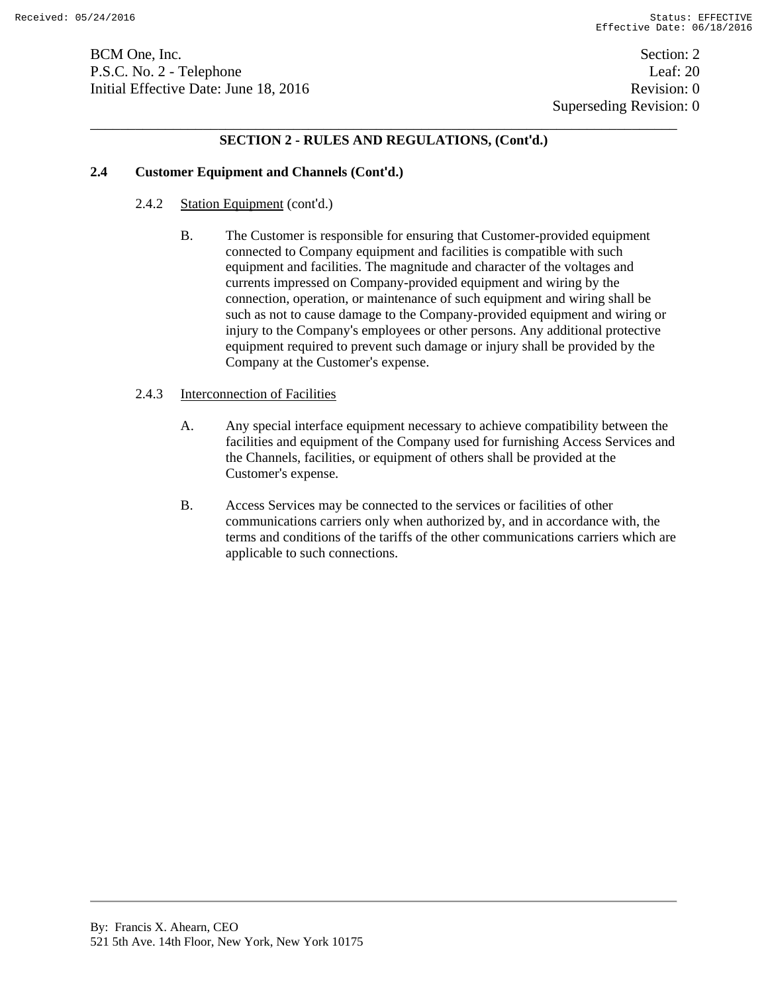BCM One, Inc. Section: 2 P.S.C. No. 2 - Telephone Leaf: 20 Initial Effective Date: June 18, 2016 **Revision: 0** Revision: 0

# **SECTION 2 - RULES AND REGULATIONS, (Cont'd.)**

# **2.4 Customer Equipment and Channels (Cont'd.)**

- 2.4.2 Station Equipment (cont'd.)
	- B. The Customer is responsible for ensuring that Customer-provided equipment connected to Company equipment and facilities is compatible with such equipment and facilities. The magnitude and character of the voltages and currents impressed on Company-provided equipment and wiring by the connection, operation, or maintenance of such equipment and wiring shall be such as not to cause damage to the Company-provided equipment and wiring or injury to the Company's employees or other persons. Any additional protective equipment required to prevent such damage or injury shall be provided by the Company at the Customer's expense.

### 2.4.3 Interconnection of Facilities

- A. Any special interface equipment necessary to achieve compatibility between the facilities and equipment of the Company used for furnishing Access Services and the Channels, facilities, or equipment of others shall be provided at the Customer's expense.
- B. Access Services may be connected to the services or facilities of other communications carriers only when authorized by, and in accordance with, the terms and conditions of the tariffs of the other communications carriers which are applicable to such connections.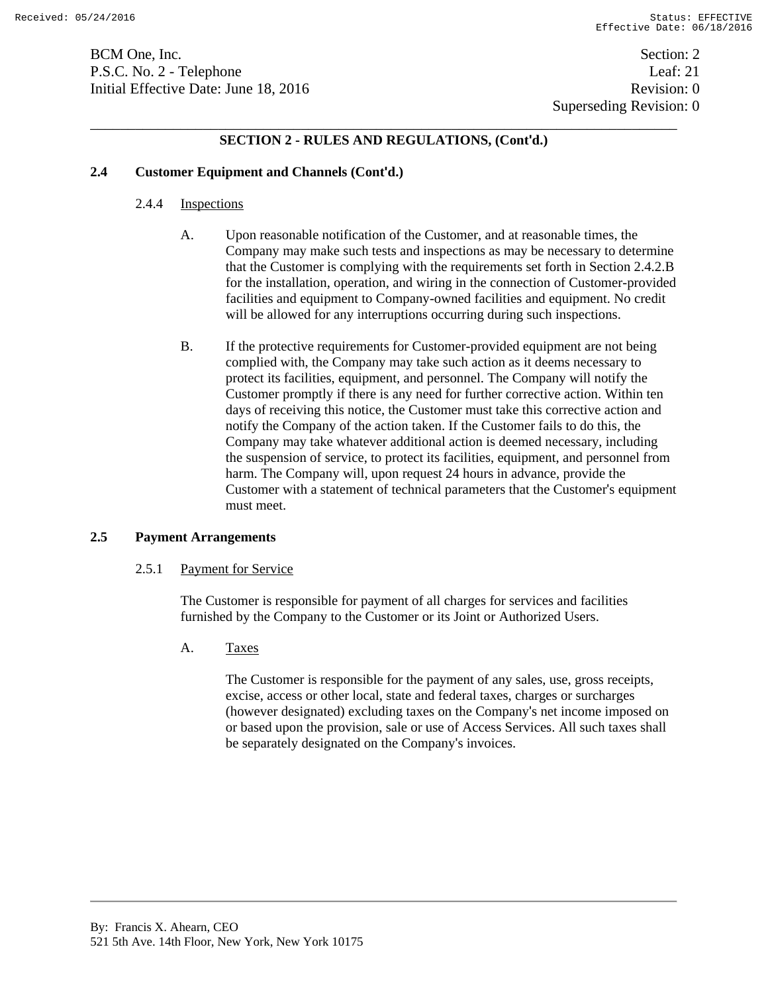BCM One, Inc. Section: 2 P.S.C. No. 2 - Telephone Leaf: 21 Initial Effective Date: June 18, 2016 **Revision: 0** Revision: 0

# **SECTION 2 - RULES AND REGULATIONS, (Cont'd.)**

# **2.4 Customer Equipment and Channels (Cont'd.)**

# 2.4.4 Inspections

- A. Upon reasonable notification of the Customer, and at reasonable times, the Company may make such tests and inspections as may be necessary to determine that the Customer is complying with the requirements set forth in Section 2.4.2.B for the installation, operation, and wiring in the connection of Customer-provided facilities and equipment to Company-owned facilities and equipment. No credit will be allowed for any interruptions occurring during such inspections.
- B. If the protective requirements for Customer-provided equipment are not being complied with, the Company may take such action as it deems necessary to protect its facilities, equipment, and personnel. The Company will notify the Customer promptly if there is any need for further corrective action. Within ten days of receiving this notice, the Customer must take this corrective action and notify the Company of the action taken. If the Customer fails to do this, the Company may take whatever additional action is deemed necessary, including the suspension of service, to protect its facilities, equipment, and personnel from harm. The Company will, upon request 24 hours in advance, provide the Customer with a statement of technical parameters that the Customer's equipment must meet.

# **2.5 Payment Arrangements**

# 2.5.1 Payment for Service

The Customer is responsible for payment of all charges for services and facilities furnished by the Company to the Customer or its Joint or Authorized Users.

A. Taxes

The Customer is responsible for the payment of any sales, use, gross receipts, excise, access or other local, state and federal taxes, charges or surcharges (however designated) excluding taxes on the Company's net income imposed on or based upon the provision, sale or use of Access Services. All such taxes shall be separately designated on the Company's invoices.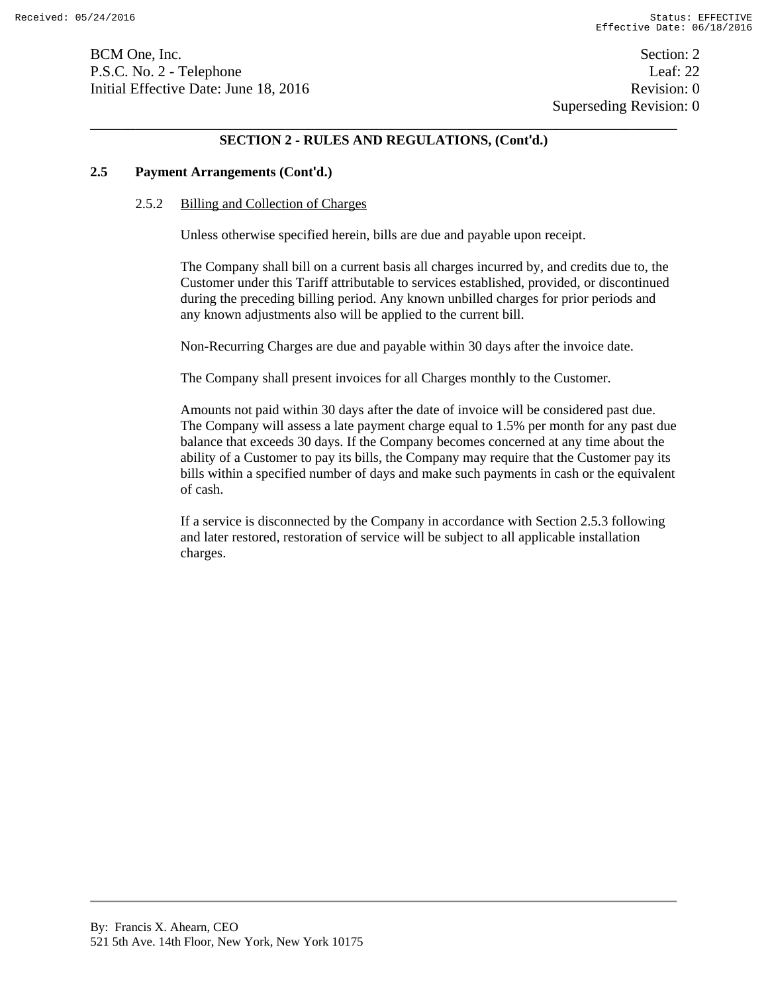BCM One, Inc. Section: 2 P.S.C. No. 2 - Telephone Leaf: 22 Initial Effective Date: June 18, 2016 **Revision: 0** Revision: 0

Superseding Revision: 0

# \_\_\_\_\_\_\_\_\_\_\_\_\_\_\_\_\_\_\_\_\_\_\_\_\_\_\_\_\_\_\_\_\_\_\_\_\_\_\_\_\_\_\_\_\_\_\_\_\_\_\_\_\_\_\_\_\_\_\_\_\_\_\_\_\_\_\_\_\_\_\_\_\_\_\_\_\_\_ **SECTION 2 - RULES AND REGULATIONS, (Cont'd.)**

### **2.5 Payment Arrangements (Cont'd.)**

#### 2.5.2 Billing and Collection of Charges

Unless otherwise specified herein, bills are due and payable upon receipt.

The Company shall bill on a current basis all charges incurred by, and credits due to, the Customer under this Tariff attributable to services established, provided, or discontinued during the preceding billing period. Any known unbilled charges for prior periods and any known adjustments also will be applied to the current bill.

Non-Recurring Charges are due and payable within 30 days after the invoice date.

The Company shall present invoices for all Charges monthly to the Customer.

Amounts not paid within 30 days after the date of invoice will be considered past due. The Company will assess a late payment charge equal to 1.5% per month for any past due balance that exceeds 30 days. If the Company becomes concerned at any time about the ability of a Customer to pay its bills, the Company may require that the Customer pay its bills within a specified number of days and make such payments in cash or the equivalent of cash.

If a service is disconnected by the Company in accordance with Section 2.5.3 following and later restored, restoration of service will be subject to all applicable installation charges.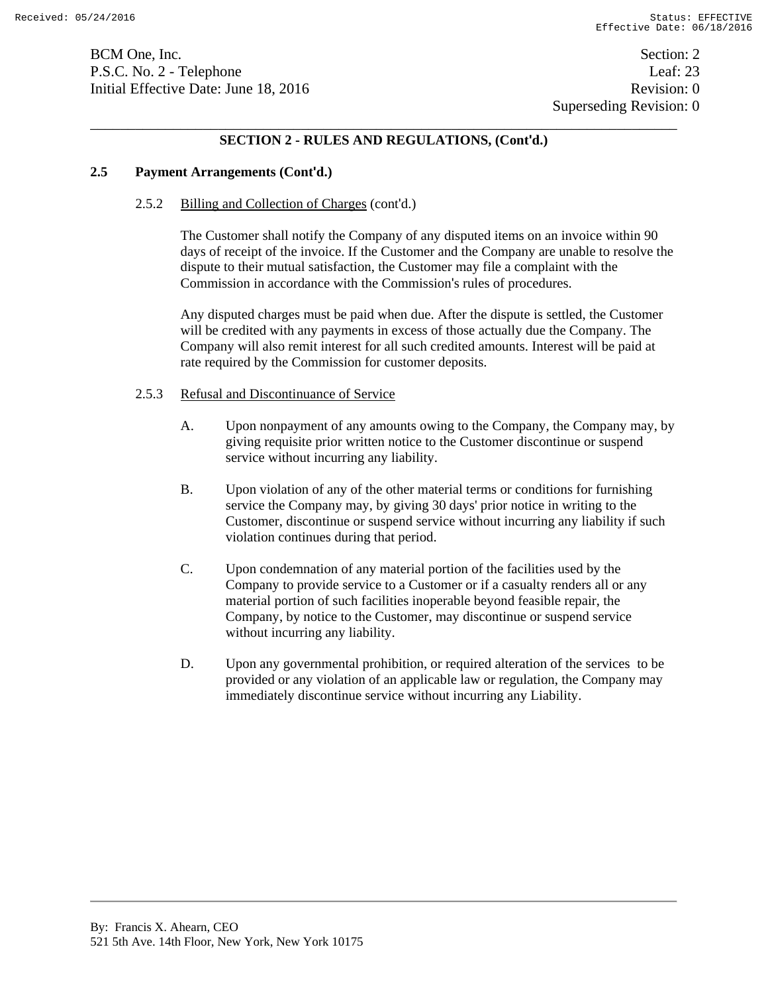BCM One, Inc. Section: 2 P.S.C. No. 2 - Telephone Leaf: 23 Initial Effective Date: June 18, 2016 **Revision: 0** Revision: 0

# \_\_\_\_\_\_\_\_\_\_\_\_\_\_\_\_\_\_\_\_\_\_\_\_\_\_\_\_\_\_\_\_\_\_\_\_\_\_\_\_\_\_\_\_\_\_\_\_\_\_\_\_\_\_\_\_\_\_\_\_\_\_\_\_\_\_\_\_\_\_\_\_\_\_\_\_\_\_ **SECTION 2 - RULES AND REGULATIONS, (Cont'd.)**

### **2.5 Payment Arrangements (Cont'd.)**

### 2.5.2 Billing and Collection of Charges (cont'd.)

The Customer shall notify the Company of any disputed items on an invoice within 90 days of receipt of the invoice. If the Customer and the Company are unable to resolve the dispute to their mutual satisfaction, the Customer may file a complaint with the Commission in accordance with the Commission's rules of procedures.

Any disputed charges must be paid when due. After the dispute is settled, the Customer will be credited with any payments in excess of those actually due the Company. The Company will also remit interest for all such credited amounts. Interest will be paid at rate required by the Commission for customer deposits.

### 2.5.3 Refusal and Discontinuance of Service

- A. Upon nonpayment of any amounts owing to the Company, the Company may, by giving requisite prior written notice to the Customer discontinue or suspend service without incurring any liability.
- B. Upon violation of any of the other material terms or conditions for furnishing service the Company may, by giving 30 days' prior notice in writing to the Customer, discontinue or suspend service without incurring any liability if such violation continues during that period.
- C. Upon condemnation of any material portion of the facilities used by the Company to provide service to a Customer or if a casualty renders all or any material portion of such facilities inoperable beyond feasible repair, the Company, by notice to the Customer, may discontinue or suspend service without incurring any liability.
- D. Upon any governmental prohibition, or required alteration of the services to be provided or any violation of an applicable law or regulation, the Company may immediately discontinue service without incurring any Liability.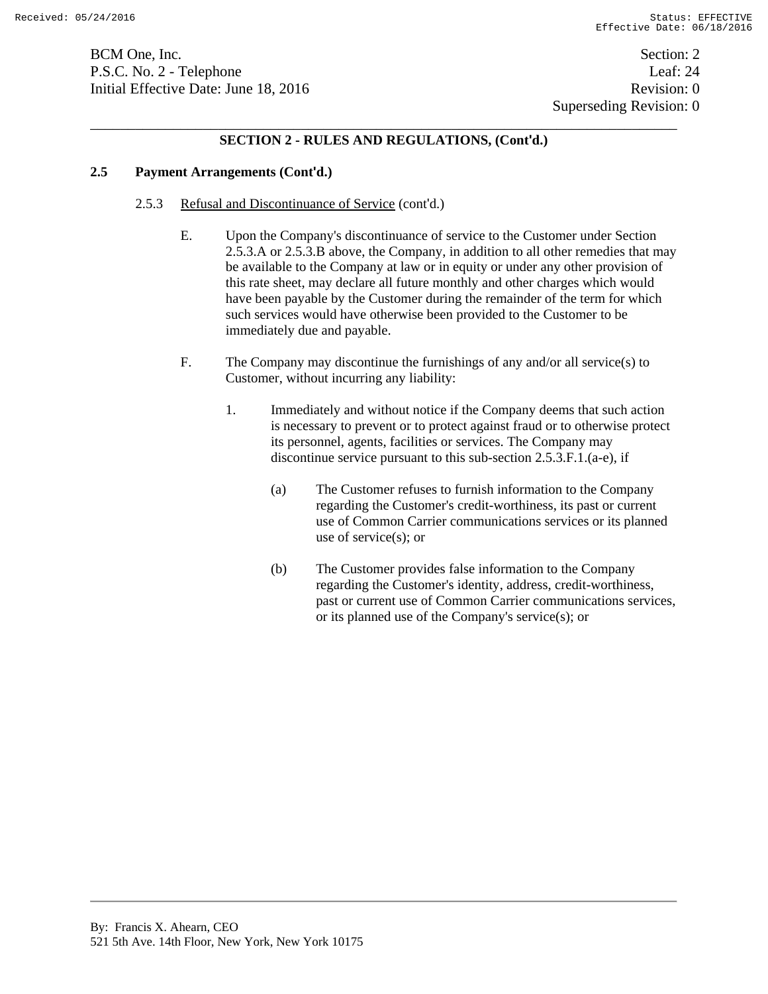BCM One, Inc. Section: 2 P.S.C. No. 2 - Telephone Leaf: 24 Initial Effective Date: June 18, 2016 **Revision: 0** Revision: 0

# **SECTION 2 - RULES AND REGULATIONS, (Cont'd.)**

### **2.5 Payment Arrangements (Cont'd.)**

- 2.5.3 Refusal and Discontinuance of Service (cont'd.)
	- E. Upon the Company's discontinuance of service to the Customer under Section 2.5.3.A or 2.5.3.B above, the Company, in addition to all other remedies that may be available to the Company at law or in equity or under any other provision of this rate sheet, may declare all future monthly and other charges which would have been payable by the Customer during the remainder of the term for which such services would have otherwise been provided to the Customer to be immediately due and payable.
	- F. The Company may discontinue the furnishings of any and/or all service(s) to Customer, without incurring any liability:
		- 1. Immediately and without notice if the Company deems that such action is necessary to prevent or to protect against fraud or to otherwise protect its personnel, agents, facilities or services. The Company may discontinue service pursuant to this sub-section 2.5.3.F.1.(a-e), if
			- (a) The Customer refuses to furnish information to the Company regarding the Customer's credit-worthiness, its past or current use of Common Carrier communications services or its planned use of service(s); or
			- (b) The Customer provides false information to the Company regarding the Customer's identity, address, credit-worthiness, past or current use of Common Carrier communications services, or its planned use of the Company's service(s); or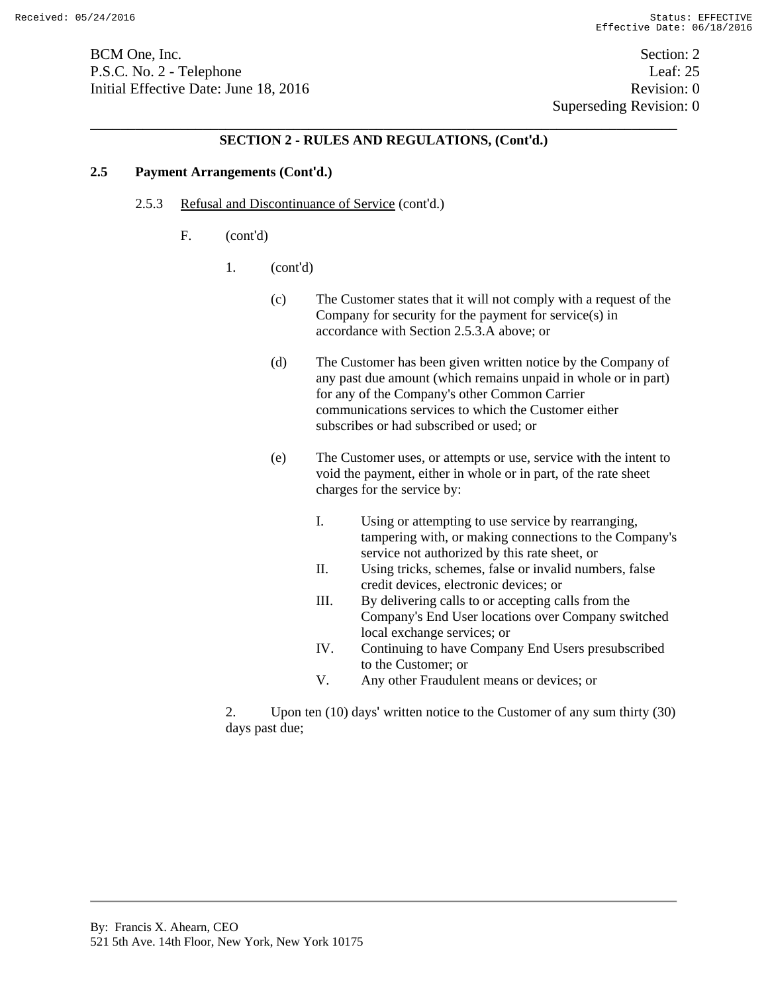BCM One, Inc. Section: 2 P.S.C. No. 2 - Telephone Leaf: 25 Initial Effective Date: June 18, 2016 Revision: 0

Superseding Revision: 0

# \_\_\_\_\_\_\_\_\_\_\_\_\_\_\_\_\_\_\_\_\_\_\_\_\_\_\_\_\_\_\_\_\_\_\_\_\_\_\_\_\_\_\_\_\_\_\_\_\_\_\_\_\_\_\_\_\_\_\_\_\_\_\_\_\_\_\_\_\_\_\_\_\_\_\_\_\_\_ **SECTION 2 - RULES AND REGULATIONS, (Cont'd.)**

# **2.5 Payment Arrangements (Cont'd.)**

- 2.5.3 Refusal and Discontinuance of Service (cont'd.)
	- F. (cont'd)
		- 1. (cont'd)
			- (c) The Customer states that it will not comply with a request of the Company for security for the payment for service(s) in accordance with Section 2.5.3.A above; or
			- (d) The Customer has been given written notice by the Company of any past due amount (which remains unpaid in whole or in part) for any of the Company's other Common Carrier communications services to which the Customer either subscribes or had subscribed or used; or
			- (e) The Customer uses, or attempts or use, service with the intent to void the payment, either in whole or in part, of the rate sheet charges for the service by:
				- I. Using or attempting to use service by rearranging, tampering with, or making connections to the Company's service not authorized by this rate sheet, or
				- II. Using tricks, schemes, false or invalid numbers, false credit devices, electronic devices; or
				- III. By delivering calls to or accepting calls from the Company's End User locations over Company switched local exchange services; or
				- IV. Continuing to have Company End Users presubscribed to the Customer; or
				- V. Any other Fraudulent means or devices; or

2. Upon ten (10) days' written notice to the Customer of any sum thirty (30) days past due;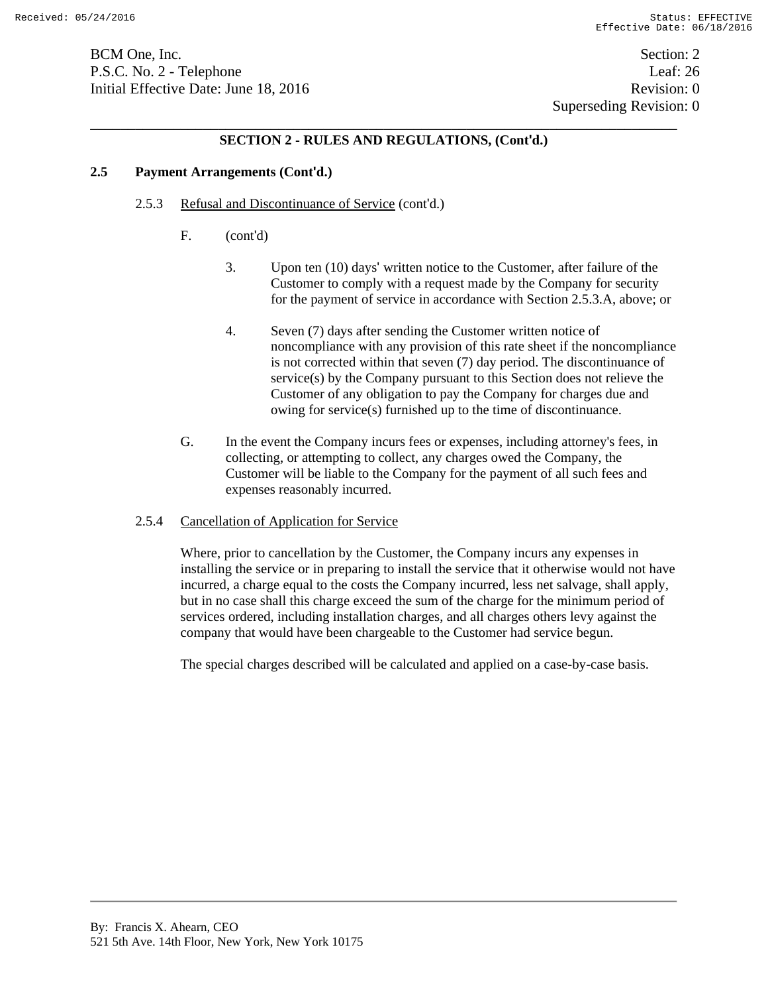BCM One, Inc. Section: 2 P.S.C. No. 2 - Telephone Leaf: 26 Initial Effective Date: June 18, 2016 **Revision: 0** Revision: 0

 Superseding Revision: 0 \_\_\_\_\_\_\_\_\_\_\_\_\_\_\_\_\_\_\_\_\_\_\_\_\_\_\_\_\_\_\_\_\_\_\_\_\_\_\_\_\_\_\_\_\_\_\_\_\_\_\_\_\_\_\_\_\_\_\_\_\_\_\_\_\_\_\_\_\_\_\_\_\_\_\_\_\_\_

# **SECTION 2 - RULES AND REGULATIONS, (Cont'd.)**

### **2.5 Payment Arrangements (Cont'd.)**

### 2.5.3 Refusal and Discontinuance of Service (cont'd.)

- F. (cont'd)
	- 3. Upon ten (10) days' written notice to the Customer, after failure of the Customer to comply with a request made by the Company for security for the payment of service in accordance with Section 2.5.3.A, above; or
	- 4. Seven (7) days after sending the Customer written notice of noncompliance with any provision of this rate sheet if the noncompliance is not corrected within that seven (7) day period. The discontinuance of service(s) by the Company pursuant to this Section does not relieve the Customer of any obligation to pay the Company for charges due and owing for service(s) furnished up to the time of discontinuance.
- G. In the event the Company incurs fees or expenses, including attorney's fees, in collecting, or attempting to collect, any charges owed the Company, the Customer will be liable to the Company for the payment of all such fees and expenses reasonably incurred.

#### 2.5.4 Cancellation of Application for Service

Where, prior to cancellation by the Customer, the Company incurs any expenses in installing the service or in preparing to install the service that it otherwise would not have incurred, a charge equal to the costs the Company incurred, less net salvage, shall apply, but in no case shall this charge exceed the sum of the charge for the minimum period of services ordered, including installation charges, and all charges others levy against the company that would have been chargeable to the Customer had service begun.

The special charges described will be calculated and applied on a case-by-case basis.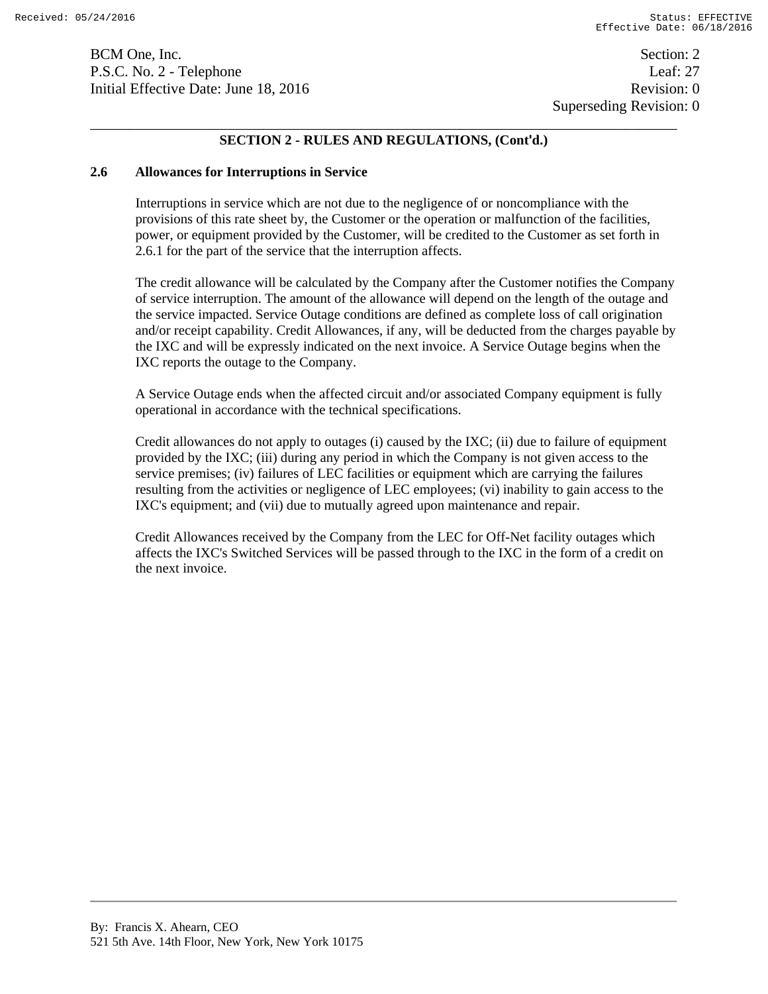BCM One, Inc. Section: 2 P.S.C. No. 2 - Telephone Leaf: 27 Initial Effective Date: June 18, 2016 **Revision: 0** Revision: 0

 Superseding Revision: 0 \_\_\_\_\_\_\_\_\_\_\_\_\_\_\_\_\_\_\_\_\_\_\_\_\_\_\_\_\_\_\_\_\_\_\_\_\_\_\_\_\_\_\_\_\_\_\_\_\_\_\_\_\_\_\_\_\_\_\_\_\_\_\_\_\_\_\_\_\_\_\_\_\_\_\_\_\_\_

# **SECTION 2 - RULES AND REGULATIONS, (Cont'd.)**

#### **2.6 Allowances for Interruptions in Service**

Interruptions in service which are not due to the negligence of or noncompliance with the provisions of this rate sheet by, the Customer or the operation or malfunction of the facilities, power, or equipment provided by the Customer, will be credited to the Customer as set forth in 2.6.1 for the part of the service that the interruption affects.

The credit allowance will be calculated by the Company after the Customer notifies the Company of service interruption. The amount of the allowance will depend on the length of the outage and the service impacted. Service Outage conditions are defined as complete loss of call origination and/or receipt capability. Credit Allowances, if any, will be deducted from the charges payable by the IXC and will be expressly indicated on the next invoice. A Service Outage begins when the IXC reports the outage to the Company.

A Service Outage ends when the affected circuit and/or associated Company equipment is fully operational in accordance with the technical specifications.

Credit allowances do not apply to outages (i) caused by the IXC; (ii) due to failure of equipment provided by the IXC; (iii) during any period in which the Company is not given access to the service premises; (iv) failures of LEC facilities or equipment which are carrying the failures resulting from the activities or negligence of LEC employees; (vi) inability to gain access to the IXC's equipment; and (vii) due to mutually agreed upon maintenance and repair.

Credit Allowances received by the Company from the LEC for Off-Net facility outages which affects the IXC's Switched Services will be passed through to the IXC in the form of a credit on the next invoice.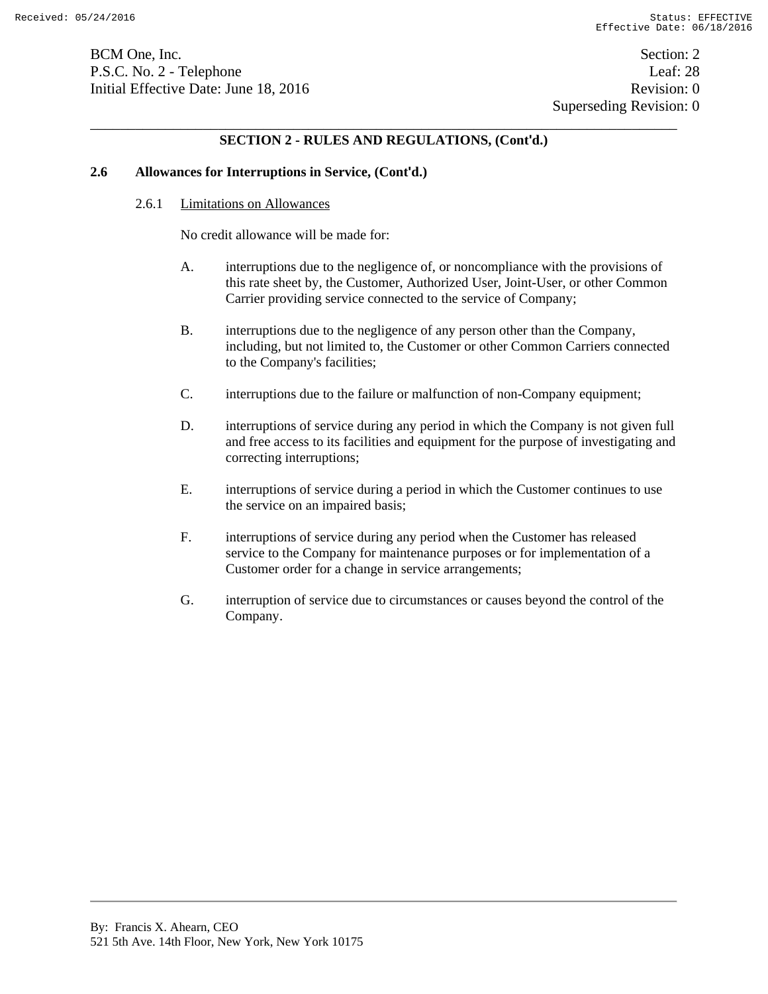BCM One, Inc. Section: 2 P.S.C. No. 2 - Telephone Leaf: 28 Initial Effective Date: June 18, 2016 **Revision: 0** Revision: 0

 Superseding Revision: 0 \_\_\_\_\_\_\_\_\_\_\_\_\_\_\_\_\_\_\_\_\_\_\_\_\_\_\_\_\_\_\_\_\_\_\_\_\_\_\_\_\_\_\_\_\_\_\_\_\_\_\_\_\_\_\_\_\_\_\_\_\_\_\_\_\_\_\_\_\_\_\_\_\_\_\_\_\_\_

# **SECTION 2 - RULES AND REGULATIONS, (Cont'd.)**

#### **2.6 Allowances for Interruptions in Service, (Cont'd.)**

#### 2.6.1 Limitations on Allowances

No credit allowance will be made for:

- A. interruptions due to the negligence of, or noncompliance with the provisions of this rate sheet by, the Customer, Authorized User, Joint-User, or other Common Carrier providing service connected to the service of Company;
- B. interruptions due to the negligence of any person other than the Company, including, but not limited to, the Customer or other Common Carriers connected to the Company's facilities;
- C. interruptions due to the failure or malfunction of non-Company equipment;
- D. interruptions of service during any period in which the Company is not given full and free access to its facilities and equipment for the purpose of investigating and correcting interruptions;
- E. interruptions of service during a period in which the Customer continues to use the service on an impaired basis;
- F. interruptions of service during any period when the Customer has released service to the Company for maintenance purposes or for implementation of a Customer order for a change in service arrangements;
- G. interruption of service due to circumstances or causes beyond the control of the Company.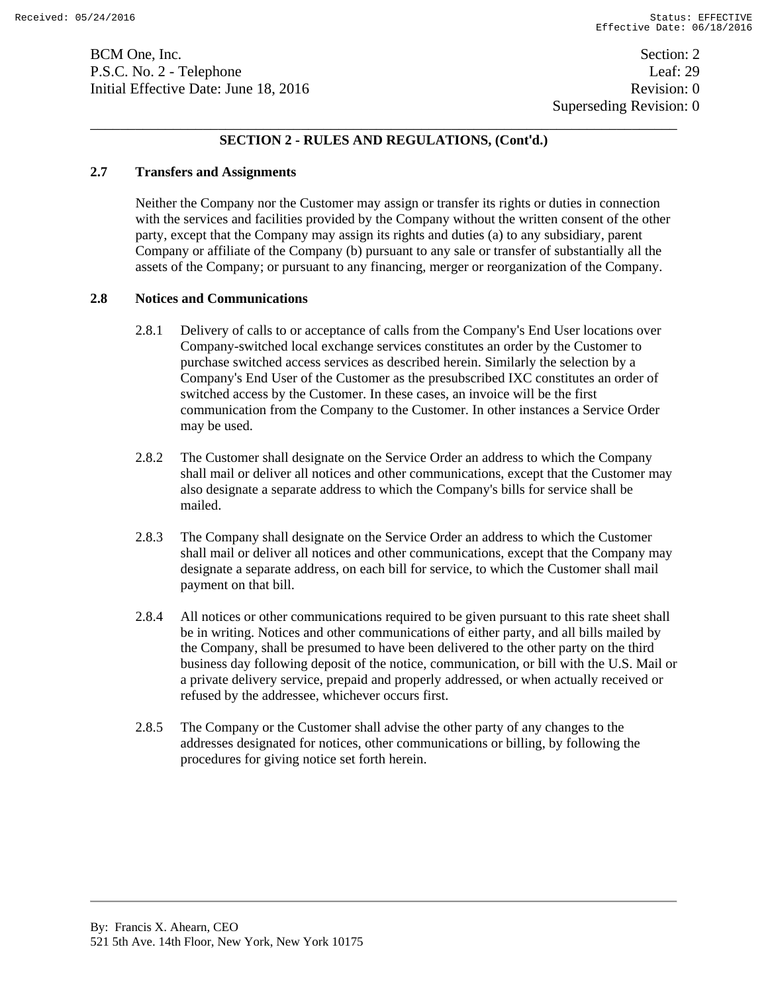BCM One, Inc. Section: 2 P.S.C. No. 2 - Telephone Leaf: 29 Initial Effective Date: June 18, 2016 **Revision: 0** Revision: 0

Superseding Revision: 0

# \_\_\_\_\_\_\_\_\_\_\_\_\_\_\_\_\_\_\_\_\_\_\_\_\_\_\_\_\_\_\_\_\_\_\_\_\_\_\_\_\_\_\_\_\_\_\_\_\_\_\_\_\_\_\_\_\_\_\_\_\_\_\_\_\_\_\_\_\_\_\_\_\_\_\_\_\_\_ **SECTION 2 - RULES AND REGULATIONS, (Cont'd.)**

## **2.7 Transfers and Assignments**

Neither the Company nor the Customer may assign or transfer its rights or duties in connection with the services and facilities provided by the Company without the written consent of the other party, except that the Company may assign its rights and duties (a) to any subsidiary, parent Company or affiliate of the Company (b) pursuant to any sale or transfer of substantially all the assets of the Company; or pursuant to any financing, merger or reorganization of the Company.

#### **2.8 Notices and Communications**

- 2.8.1 Delivery of calls to or acceptance of calls from the Company's End User locations over Company-switched local exchange services constitutes an order by the Customer to purchase switched access services as described herein. Similarly the selection by a Company's End User of the Customer as the presubscribed IXC constitutes an order of switched access by the Customer. In these cases, an invoice will be the first communication from the Company to the Customer. In other instances a Service Order may be used.
- 2.8.2 The Customer shall designate on the Service Order an address to which the Company shall mail or deliver all notices and other communications, except that the Customer may also designate a separate address to which the Company's bills for service shall be mailed.
- 2.8.3 The Company shall designate on the Service Order an address to which the Customer shall mail or deliver all notices and other communications, except that the Company may designate a separate address, on each bill for service, to which the Customer shall mail payment on that bill.
- 2.8.4 All notices or other communications required to be given pursuant to this rate sheet shall be in writing. Notices and other communications of either party, and all bills mailed by the Company, shall be presumed to have been delivered to the other party on the third business day following deposit of the notice, communication, or bill with the U.S. Mail or a private delivery service, prepaid and properly addressed, or when actually received or refused by the addressee, whichever occurs first.
- 2.8.5 The Company or the Customer shall advise the other party of any changes to the addresses designated for notices, other communications or billing, by following the procedures for giving notice set forth herein.